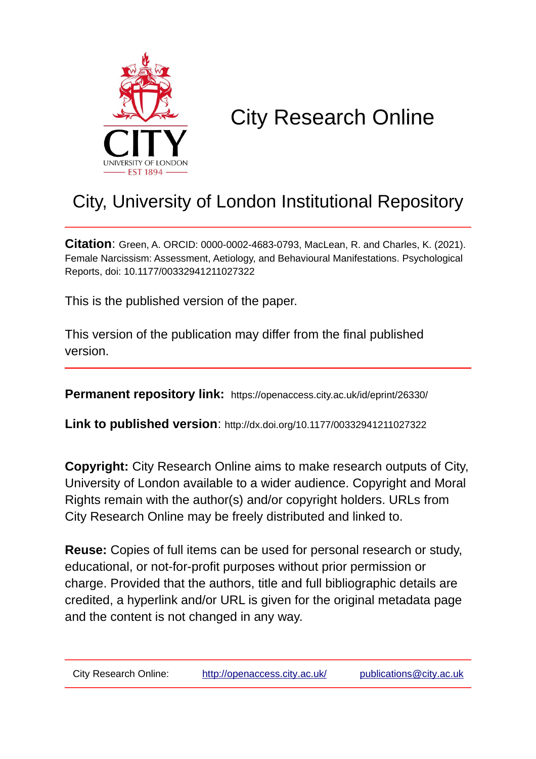

# City Research Online

# City, University of London Institutional Repository

**Citation**: Green, A. ORCID: 0000-0002-4683-0793, MacLean, R. and Charles, K. (2021). Female Narcissism: Assessment, Aetiology, and Behavioural Manifestations. Psychological Reports, doi: 10.1177/00332941211027322

This is the published version of the paper.

This version of the publication may differ from the final published version.

**Permanent repository link:** https://openaccess.city.ac.uk/id/eprint/26330/

**Link to published version**: http://dx.doi.org/10.1177/00332941211027322

**Copyright:** City Research Online aims to make research outputs of City, University of London available to a wider audience. Copyright and Moral Rights remain with the author(s) and/or copyright holders. URLs from City Research Online may be freely distributed and linked to.

**Reuse:** Copies of full items can be used for personal research or study, educational, or not-for-profit purposes without prior permission or charge. Provided that the authors, title and full bibliographic details are credited, a hyperlink and/or URL is given for the original metadata page and the content is not changed in any way.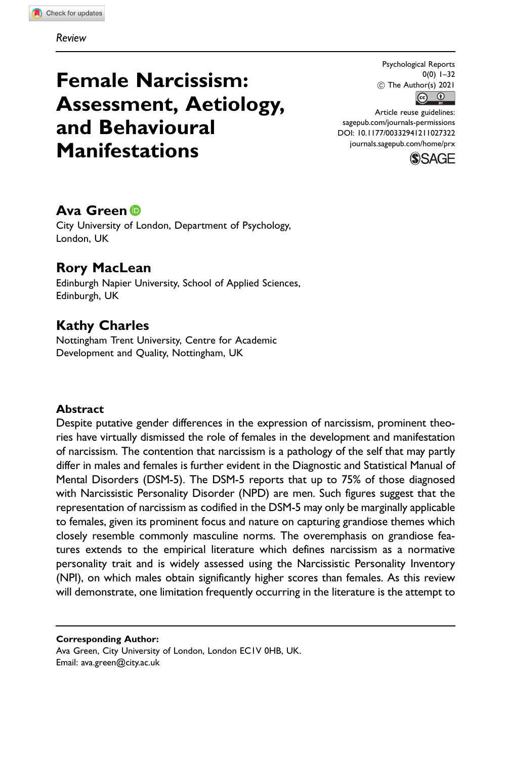# Female Narcissism: Assessment, Aetiology, and Behavioural Manifestations

Psychological Reports 0(0) 1–32  $\circled{c}$  The Author(s) 2021

Article reuse guidelines: [sagepub.com/journals-permissions](http://us.sagepub.com/en-us/journals-permissions) [DOI: 10.1177/00332941211027322](http://dx.doi.org/10.1177/00332941211027322) <journals.sagepub.com/home/prx>



# Ava Green **D**

City University of London, Department of Psychology, London, UK

# Rory MacLean

Edinburgh Napier University, School of Applied Sciences, Edinburgh, UK

# Kathy Charles

Nottingham Trent University, Centre for Academic Development and Quality, Nottingham, UK

#### Abstract

Despite putative gender differences in the expression of narcissism, prominent theories have virtually dismissed the role of females in the development and manifestation of narcissism. The contention that narcissism is a pathology of the self that may partly differ in males and females is further evident in the Diagnostic and Statistical Manual of Mental Disorders (DSM-5). The DSM-5 reports that up to 75% of those diagnosed with Narcissistic Personality Disorder (NPD) are men. Such figures suggest that the representation of narcissism as codified in the DSM-5 may only be marginally applicable to females, given its prominent focus and nature on capturing grandiose themes which closely resemble commonly masculine norms. The overemphasis on grandiose features extends to the empirical literature which defines narcissism as a normative personality trait and is widely assessed using the Narcissistic Personality Inventory (NPI), on which males obtain significantly higher scores than females. As this review will demonstrate, one limitation frequently occurring in the literature is the attempt to

#### Corresponding Author:

Ava Green, City University of London, London EC1V 0HB, UK. Email: [ava.green@city.ac.uk](mailto:ava.green@city.ac.uk)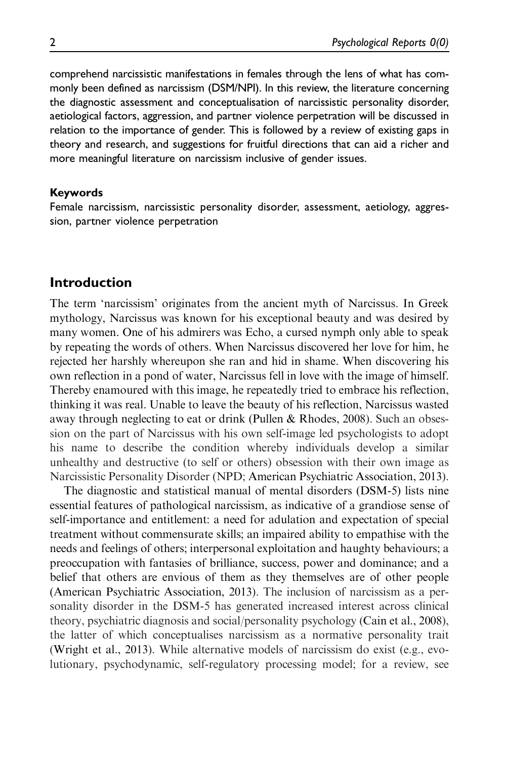comprehend narcissistic manifestations in females through the lens of what has commonly been defined as narcissism (DSM/NPI). In this review, the literature concerning the diagnostic assessment and conceptualisation of narcissistic personality disorder, aetiological factors, aggression, and partner violence perpetration will be discussed in relation to the importance of gender. This is followed by a review of existing gaps in theory and research, and suggestions for fruitful directions that can aid a richer and more meaningful literature on narcissism inclusive of gender issues.

#### Keywords

Female narcissism, narcissistic personality disorder, assessment, aetiology, aggression, partner violence perpetration

#### Introduction

The term 'narcissism' originates from the ancient myth of Narcissus. In Greek mythology, Narcissus was known for his exceptional beauty and was desired by many women. One of his admirers was Echo, a cursed nymph only able to speak by repeating the words of others. When Narcissus discovered her love for him, he rejected her harshly whereupon she ran and hid in shame. When discovering his own reflection in a pond of water, Narcissus fell in love with the image of himself. Thereby enamoured with this image, he repeatedly tried to embrace his reflection, thinking it was real. Unable to leave the beauty of his reflection, Narcissus wasted away through neglecting to eat or drink (Pullen & Rhodes, 2008). Such an obsession on the part of Narcissus with his own self-image led psychologists to adopt his name to describe the condition whereby individuals develop a similar unhealthy and destructive (to self or others) obsession with their own image as Narcissistic Personality Disorder (NPD; American Psychiatric Association, 2013).

The diagnostic and statistical manual of mental disorders (DSM-5) lists nine essential features of pathological narcissism, as indicative of a grandiose sense of self-importance and entitlement: a need for adulation and expectation of special treatment without commensurate skills; an impaired ability to empathise with the needs and feelings of others; interpersonal exploitation and haughty behaviours; a preoccupation with fantasies of brilliance, success, power and dominance; and a belief that others are envious of them as they themselves are of other people (American Psychiatric Association, 2013). The inclusion of narcissism as a personality disorder in the DSM-5 has generated increased interest across clinical theory, psychiatric diagnosis and social/personality psychology (Cain et al., 2008), the latter of which conceptualises narcissism as a normative personality trait (Wright et al., 2013). While alternative models of narcissism do exist (e.g., evolutionary, psychodynamic, self-regulatory processing model; for a review, see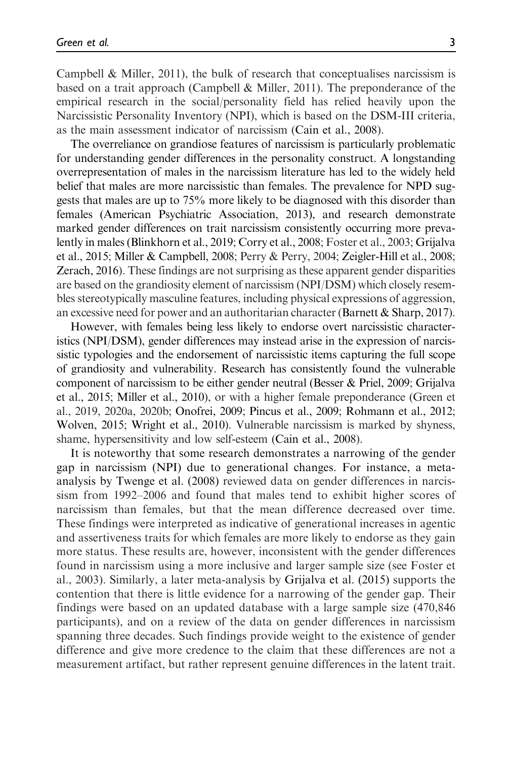Campbell & Miller, 2011), the bulk of research that conceptualises narcissism is based on a trait approach (Campbell & Miller, 2011). The preponderance of the empirical research in the social/personality field has relied heavily upon the Narcissistic Personality Inventory (NPI), which is based on the DSM-III criteria, as the main assessment indicator of narcissism (Cain et al., 2008).

The overreliance on grandiose features of narcissism is particularly problematic for understanding gender differences in the personality construct. A longstanding overrepresentation of males in the narcissism literature has led to the widely held belief that males are more narcissistic than females. The prevalence for NPD suggests that males are up to 75% more likely to be diagnosed with this disorder than females (American Psychiatric Association, 2013), and research demonstrate marked gender differences on trait narcissism consistently occurring more prevalently in males (Blinkhorn et al., 2019; Corry et al., 2008; Foster et al., 2003; Grijalva et al., 2015; Miller & Campbell, 2008; Perry & Perry, 2004; Zeigler-Hill et al., 2008; Zerach, 2016). These findings are not surprising as these apparent gender disparities are based on the grandiosity element of narcissism (NPI/DSM) which closely resembles stereotypically masculine features, including physical expressions of aggression, an excessive need for power and an authoritarian character (Barnett & Sharp, 2017).

However, with females being less likely to endorse overt narcissistic characteristics (NPI/DSM), gender differences may instead arise in the expression of narcissistic typologies and the endorsement of narcissistic items capturing the full scope of grandiosity and vulnerability. Research has consistently found the vulnerable component of narcissism to be either gender neutral (Besser & Priel, 2009; Grijalva et al., 2015; Miller et al., 2010), or with a higher female preponderance (Green et al., 2019, 2020a, 2020b; Onofrei, 2009; Pincus et al., 2009; Rohmann et al., 2012; Wolven, 2015; Wright et al., 2010). Vulnerable narcissism is marked by shyness, shame, hypersensitivity and low self-esteem (Cain et al., 2008).

It is noteworthy that some research demonstrates a narrowing of the gender gap in narcissism (NPI) due to generational changes. For instance, a metaanalysis by Twenge et al. (2008) reviewed data on gender differences in narcissism from 1992–2006 and found that males tend to exhibit higher scores of narcissism than females, but that the mean difference decreased over time. These findings were interpreted as indicative of generational increases in agentic and assertiveness traits for which females are more likely to endorse as they gain more status. These results are, however, inconsistent with the gender differences found in narcissism using a more inclusive and larger sample size (see Foster et al., 2003). Similarly, a later meta-analysis by Grijalva et al. (2015) supports the contention that there is little evidence for a narrowing of the gender gap. Their findings were based on an updated database with a large sample size (470,846 participants), and on a review of the data on gender differences in narcissism spanning three decades. Such findings provide weight to the existence of gender difference and give more credence to the claim that these differences are not a measurement artifact, but rather represent genuine differences in the latent trait.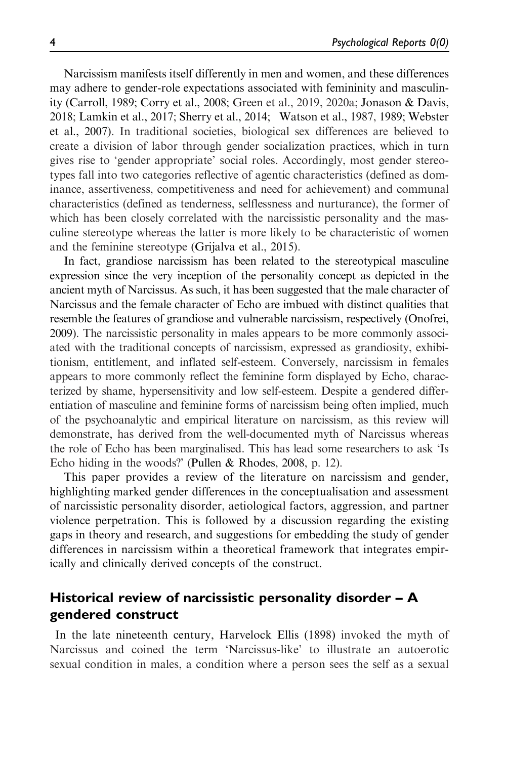Narcissism manifests itself differently in men and women, and these differences may adhere to gender-role expectations associated with femininity and masculinity (Carroll, 1989; Corry et al., 2008; Green et al., 2019, 2020a; Jonason & Davis, 2018; Lamkin et al., 2017; Sherry et al., 2014; Watson et al., 1987, 1989; Webster et al., 2007). In traditional societies, biological sex differences are believed to create a division of labor through gender socialization practices, which in turn gives rise to 'gender appropriate' social roles. Accordingly, most gender stereotypes fall into two categories reflective of agentic characteristics (defined as dominance, assertiveness, competitiveness and need for achievement) and communal characteristics (defined as tenderness, selflessness and nurturance), the former of which has been closely correlated with the narcissistic personality and the masculine stereotype whereas the latter is more likely to be characteristic of women and the feminine stereotype (Grijalva et al., 2015).

In fact, grandiose narcissism has been related to the stereotypical masculine expression since the very inception of the personality concept as depicted in the ancient myth of Narcissus. As such, it has been suggested that the male character of Narcissus and the female character of Echo are imbued with distinct qualities that resemble the features of grandiose and vulnerable narcissism, respectively (Onofrei, 2009). The narcissistic personality in males appears to be more commonly associated with the traditional concepts of narcissism, expressed as grandiosity, exhibitionism, entitlement, and inflated self-esteem. Conversely, narcissism in females appears to more commonly reflect the feminine form displayed by Echo, characterized by shame, hypersensitivity and low self-esteem. Despite a gendered differentiation of masculine and feminine forms of narcissism being often implied, much of the psychoanalytic and empirical literature on narcissism, as this review will demonstrate, has derived from the well-documented myth of Narcissus whereas the role of Echo has been marginalised. This has lead some researchers to ask 'Is Echo hiding in the woods?' (Pullen & Rhodes, 2008, p. 12).

This paper provides a review of the literature on narcissism and gender, highlighting marked gender differences in the conceptualisation and assessment of narcissistic personality disorder, aetiological factors, aggression, and partner violence perpetration. This is followed by a discussion regarding the existing gaps in theory and research, and suggestions for embedding the study of gender differences in narcissism within a theoretical framework that integrates empirically and clinically derived concepts of the construct.

# Historical review of narcissistic personality disorder – A gendered construct

In the late nineteenth century, Harvelock Ellis (1898) invoked the myth of Narcissus and coined the term 'Narcissus-like' to illustrate an autoerotic sexual condition in males, a condition where a person sees the self as a sexual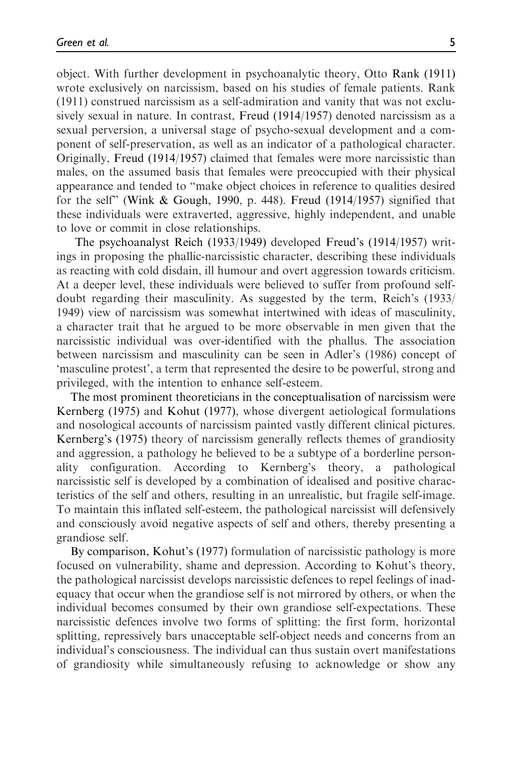object. With further development in psychoanalytic theory, Otto Rank (1911) wrote exclusively on narcissism, based on his studies of female patients. Rank (1911) construed narcissism as a self-admiration and vanity that was not exclusively sexual in nature. In contrast, Freud (1914/1957) denoted narcissism as a sexual perversion, a universal stage of psycho-sexual development and a component of self-preservation, as well as an indicator of a pathological character. Originally, Freud (1914/1957) claimed that females were more narcissistic than males, on the assumed basis that females were preoccupied with their physical appearance and tended to "make object choices in reference to qualities desired for the self" (Wink & Gough, 1990, p. 448). Freud (1914/1957) signified that these individuals were extraverted, aggressive, highly independent, and unable to love or commit in close relationships.

The psychoanalyst Reich (1933/1949) developed Freud's (1914/1957) writings in proposing the phallic-narcissistic character, describing these individuals as reacting with cold disdain, ill humour and overt aggression towards criticism. At a deeper level, these individuals were believed to suffer from profound selfdoubt regarding their masculinity. As suggested by the term, Reich's (1933/ 1949) view of narcissism was somewhat intertwined with ideas of masculinity, a character trait that he argued to be more observable in men given that the narcissistic individual was over-identified with the phallus. The association between narcissism and masculinity can be seen in Adler's (1986) concept of 'masculine protest', a term that represented the desire to be powerful, strong and privileged, with the intention to enhance self-esteem.

The most prominent theoreticians in the conceptualisation of narcissism were Kernberg (1975) and Kohut (1977), whose divergent aetiological formulations and nosological accounts of narcissism painted vastly different clinical pictures. Kernberg's (1975) theory of narcissism generally reflects themes of grandiosity and aggression, a pathology he believed to be a subtype of a borderline personality configuration. According to Kernberg's theory, a pathological narcissistic self is developed by a combination of idealised and positive characteristics of the self and others, resulting in an unrealistic, but fragile self-image. To maintain this inflated self-esteem, the pathological narcissist will defensively and consciously avoid negative aspects of self and others, thereby presenting a grandiose self.

By comparison, Kohut's (1977) formulation of narcissistic pathology is more focused on vulnerability, shame and depression. According to Kohut's theory, the pathological narcissist develops narcissistic defences to repel feelings of inadequacy that occur when the grandiose self is not mirrored by others, or when the individual becomes consumed by their own grandiose self-expectations. These narcissistic defences involve two forms of splitting: the first form, horizontal splitting, repressively bars unacceptable self-object needs and concerns from an individual's consciousness. The individual can thus sustain overt manifestations of grandiosity while simultaneously refusing to acknowledge or show any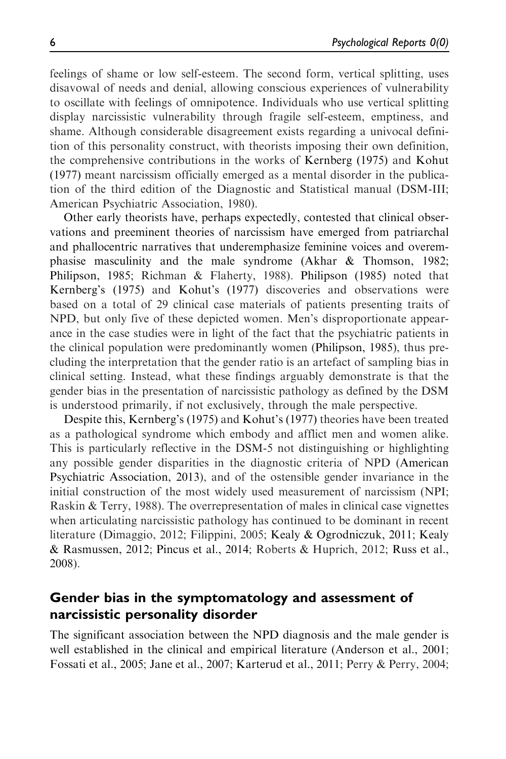feelings of shame or low self-esteem. The second form, vertical splitting, uses disavowal of needs and denial, allowing conscious experiences of vulnerability to oscillate with feelings of omnipotence. Individuals who use vertical splitting display narcissistic vulnerability through fragile self-esteem, emptiness, and shame. Although considerable disagreement exists regarding a univocal definition of this personality construct, with theorists imposing their own definition, the comprehensive contributions in the works of Kernberg (1975) and Kohut (1977) meant narcissism officially emerged as a mental disorder in the publication of the third edition of the Diagnostic and Statistical manual (DSM-III; American Psychiatric Association, 1980).

Other early theorists have, perhaps expectedly, contested that clinical observations and preeminent theories of narcissism have emerged from patriarchal and phallocentric narratives that underemphasize feminine voices and overemphasise masculinity and the male syndrome (Akhar & Thomson, 1982; Philipson, 1985; Richman & Flaherty, 1988). Philipson (1985) noted that Kernberg's (1975) and Kohut's (1977) discoveries and observations were based on a total of 29 clinical case materials of patients presenting traits of NPD, but only five of these depicted women. Men's disproportionate appearance in the case studies were in light of the fact that the psychiatric patients in the clinical population were predominantly women (Philipson, 1985), thus precluding the interpretation that the gender ratio is an artefact of sampling bias in clinical setting. Instead, what these findings arguably demonstrate is that the gender bias in the presentation of narcissistic pathology as defined by the DSM is understood primarily, if not exclusively, through the male perspective.

Despite this, Kernberg's (1975) and Kohut's (1977) theories have been treated as a pathological syndrome which embody and afflict men and women alike. This is particularly reflective in the DSM-5 not distinguishing or highlighting any possible gender disparities in the diagnostic criteria of NPD (American Psychiatric Association, 2013), and of the ostensible gender invariance in the initial construction of the most widely used measurement of narcissism (NPI; Raskin & Terry, 1988). The overrepresentation of males in clinical case vignettes when articulating narcissistic pathology has continued to be dominant in recent literature (Dimaggio, 2012; Filippini, 2005; Kealy & Ogrodniczuk, 2011; Kealy & Rasmussen, 2012; Pincus et al., 2014; Roberts & Huprich, 2012; Russ et al., 2008).

## Gender bias in the symptomatology and assessment of narcissistic personality disorder

The significant association between the NPD diagnosis and the male gender is well established in the clinical and empirical literature (Anderson et al., 2001; Fossati et al., 2005; Jane et al., 2007; Karterud et al., 2011; Perry & Perry, 2004;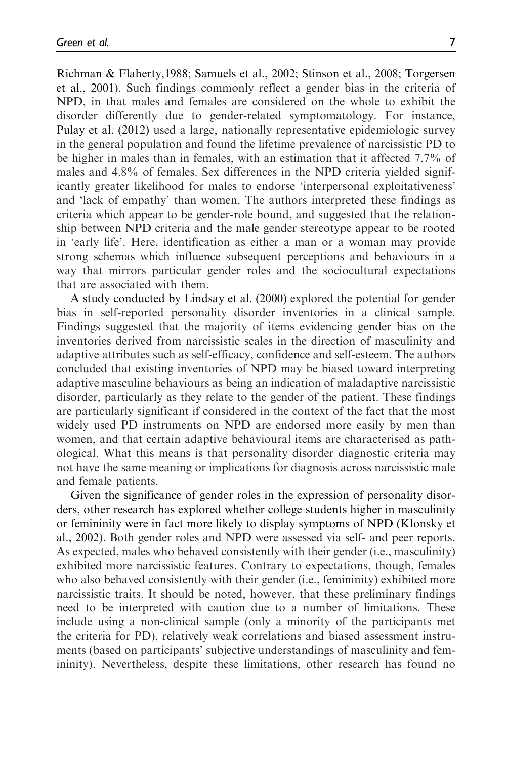Richman & Flaherty,1988; Samuels et al., 2002; Stinson et al., 2008; Torgersen et al., 2001). Such findings commonly reflect a gender bias in the criteria of NPD, in that males and females are considered on the whole to exhibit the disorder differently due to gender-related symptomatology. For instance, Pulay et al. (2012) used a large, nationally representative epidemiologic survey in the general population and found the lifetime prevalence of narcissistic PD to be higher in males than in females, with an estimation that it affected 7.7% of males and 4.8% of females. Sex differences in the NPD criteria yielded significantly greater likelihood for males to endorse 'interpersonal exploitativeness' and 'lack of empathy' than women. The authors interpreted these findings as criteria which appear to be gender-role bound, and suggested that the relationship between NPD criteria and the male gender stereotype appear to be rooted in 'early life'. Here, identification as either a man or a woman may provide strong schemas which influence subsequent perceptions and behaviours in a way that mirrors particular gender roles and the sociocultural expectations that are associated with them.

A study conducted by Lindsay et al. (2000) explored the potential for gender bias in self-reported personality disorder inventories in a clinical sample. Findings suggested that the majority of items evidencing gender bias on the inventories derived from narcissistic scales in the direction of masculinity and adaptive attributes such as self-efficacy, confidence and self-esteem. The authors concluded that existing inventories of NPD may be biased toward interpreting adaptive masculine behaviours as being an indication of maladaptive narcissistic disorder, particularly as they relate to the gender of the patient. These findings are particularly significant if considered in the context of the fact that the most widely used PD instruments on NPD are endorsed more easily by men than women, and that certain adaptive behavioural items are characterised as pathological. What this means is that personality disorder diagnostic criteria may not have the same meaning or implications for diagnosis across narcissistic male and female patients.

Given the significance of gender roles in the expression of personality disorders, other research has explored whether college students higher in masculinity or femininity were in fact more likely to display symptoms of NPD (Klonsky et al., 2002). Both gender roles and NPD were assessed via self- and peer reports. As expected, males who behaved consistently with their gender (i.e., masculinity) exhibited more narcissistic features. Contrary to expectations, though, females who also behaved consistently with their gender (i.e., femininity) exhibited more narcissistic traits. It should be noted, however, that these preliminary findings need to be interpreted with caution due to a number of limitations. These include using a non-clinical sample (only a minority of the participants met the criteria for PD), relatively weak correlations and biased assessment instruments (based on participants' subjective understandings of masculinity and femininity). Nevertheless, despite these limitations, other research has found no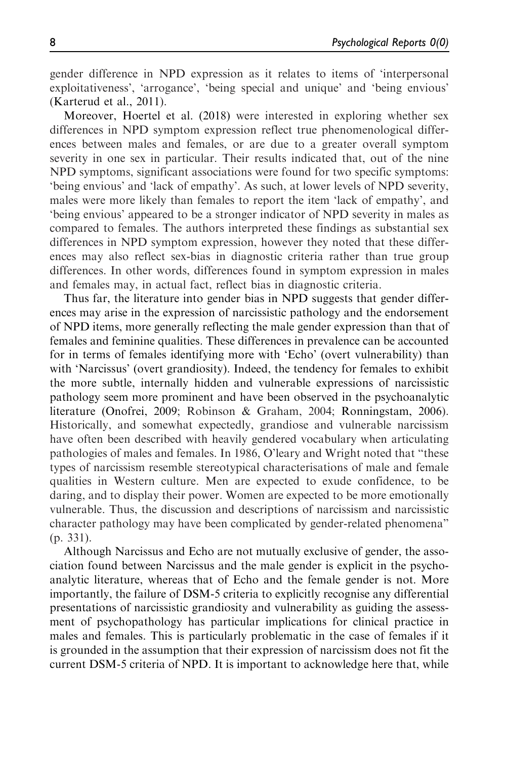gender difference in NPD expression as it relates to items of 'interpersonal exploitativeness', 'arrogance', 'being special and unique' and 'being envious' (Karterud et al., 2011).

Moreover, Hoertel et al. (2018) were interested in exploring whether sex differences in NPD symptom expression reflect true phenomenological differences between males and females, or are due to a greater overall symptom severity in one sex in particular. Their results indicated that, out of the nine NPD symptoms, significant associations were found for two specific symptoms: 'being envious' and 'lack of empathy'. As such, at lower levels of NPD severity, males were more likely than females to report the item 'lack of empathy', and 'being envious' appeared to be a stronger indicator of NPD severity in males as compared to females. The authors interpreted these findings as substantial sex differences in NPD symptom expression, however they noted that these differences may also reflect sex-bias in diagnostic criteria rather than true group differences. In other words, differences found in symptom expression in males and females may, in actual fact, reflect bias in diagnostic criteria.

Thus far, the literature into gender bias in NPD suggests that gender differences may arise in the expression of narcissistic pathology and the endorsement of NPD items, more generally reflecting the male gender expression than that of females and feminine qualities. These differences in prevalence can be accounted for in terms of females identifying more with 'Echo' (overt vulnerability) than with 'Narcissus' (overt grandiosity). Indeed, the tendency for females to exhibit the more subtle, internally hidden and vulnerable expressions of narcissistic pathology seem more prominent and have been observed in the psychoanalytic literature (Onofrei, 2009; Robinson & Graham, 2004; Ronningstam, 2006). Historically, and somewhat expectedly, grandiose and vulnerable narcissism have often been described with heavily gendered vocabulary when articulating pathologies of males and females. In 1986, O'leary and Wright noted that "these types of narcissism resemble stereotypical characterisations of male and female qualities in Western culture. Men are expected to exude confidence, to be daring, and to display their power. Women are expected to be more emotionally vulnerable. Thus, the discussion and descriptions of narcissism and narcissistic character pathology may have been complicated by gender-related phenomena" (p. 331).

Although Narcissus and Echo are not mutually exclusive of gender, the association found between Narcissus and the male gender is explicit in the psychoanalytic literature, whereas that of Echo and the female gender is not. More importantly, the failure of DSM-5 criteria to explicitly recognise any differential presentations of narcissistic grandiosity and vulnerability as guiding the assessment of psychopathology has particular implications for clinical practice in males and females. This is particularly problematic in the case of females if it is grounded in the assumption that their expression of narcissism does not fit the current DSM-5 criteria of NPD. It is important to acknowledge here that, while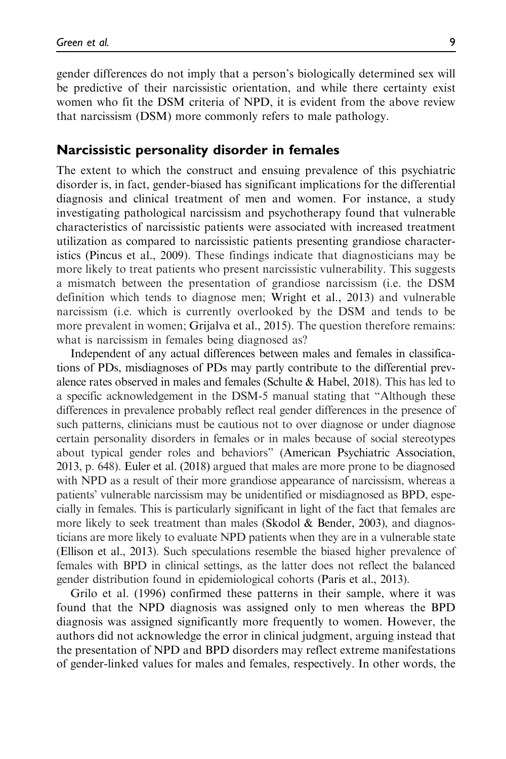gender differences do not imply that a person's biologically determined sex will be predictive of their narcissistic orientation, and while there certainty exist women who fit the DSM criteria of NPD, it is evident from the above review that narcissism (DSM) more commonly refers to male pathology.

#### Narcissistic personality disorder in females

The extent to which the construct and ensuing prevalence of this psychiatric disorder is, in fact, gender-biased has significant implications for the differential diagnosis and clinical treatment of men and women. For instance, a study investigating pathological narcissism and psychotherapy found that vulnerable characteristics of narcissistic patients were associated with increased treatment utilization as compared to narcissistic patients presenting grandiose characteristics (Pincus et al., 2009). These findings indicate that diagnosticians may be more likely to treat patients who present narcissistic vulnerability. This suggests a mismatch between the presentation of grandiose narcissism (i.e. the DSM definition which tends to diagnose men; Wright et al., 2013) and vulnerable narcissism (i.e. which is currently overlooked by the DSM and tends to be more prevalent in women; Grijalva et al., 2015). The question therefore remains: what is narcissism in females being diagnosed as?

Independent of any actual differences between males and females in classifications of PDs, misdiagnoses of PDs may partly contribute to the differential prevalence rates observed in males and females (Schulte & Habel, 2018). This has led to a specific acknowledgement in the DSM-5 manual stating that "Although these differences in prevalence probably reflect real gender differences in the presence of such patterns, clinicians must be cautious not to over diagnose or under diagnose certain personality disorders in females or in males because of social stereotypes about typical gender roles and behaviors" (American Psychiatric Association, 2013, p. 648). Euler et al. (2018) argued that males are more prone to be diagnosed with NPD as a result of their more grandiose appearance of narcissism, whereas a patients' vulnerable narcissism may be unidentified or misdiagnosed as BPD, especially in females. This is particularly significant in light of the fact that females are more likely to seek treatment than males (Skodol  $\&$  Bender, 2003), and diagnosticians are more likely to evaluate NPD patients when they are in a vulnerable state (Ellison et al., 2013). Such speculations resemble the biased higher prevalence of females with BPD in clinical settings, as the latter does not reflect the balanced gender distribution found in epidemiological cohorts (Paris et al., 2013).

Grilo et al. (1996) confirmed these patterns in their sample, where it was found that the NPD diagnosis was assigned only to men whereas the BPD diagnosis was assigned significantly more frequently to women. However, the authors did not acknowledge the error in clinical judgment, arguing instead that the presentation of NPD and BPD disorders may reflect extreme manifestations of gender-linked values for males and females, respectively. In other words, the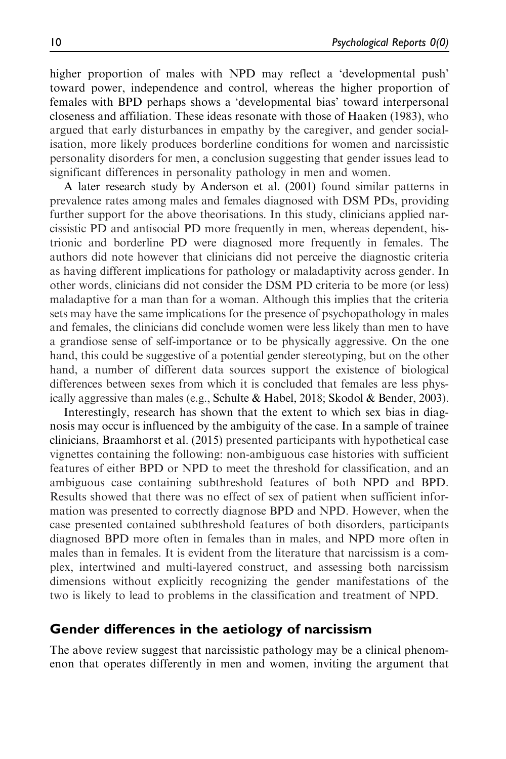higher proportion of males with NPD may reflect a 'developmental push' toward power, independence and control, whereas the higher proportion of females with BPD perhaps shows a 'developmental bias' toward interpersonal closeness and affiliation. These ideas resonate with those of Haaken (1983), who argued that early disturbances in empathy by the caregiver, and gender socialisation, more likely produces borderline conditions for women and narcissistic personality disorders for men, a conclusion suggesting that gender issues lead to significant differences in personality pathology in men and women.

A later research study by Anderson et al. (2001) found similar patterns in prevalence rates among males and females diagnosed with DSM PDs, providing further support for the above theorisations. In this study, clinicians applied narcissistic PD and antisocial PD more frequently in men, whereas dependent, histrionic and borderline PD were diagnosed more frequently in females. The authors did note however that clinicians did not perceive the diagnostic criteria as having different implications for pathology or maladaptivity across gender. In other words, clinicians did not consider the DSM PD criteria to be more (or less) maladaptive for a man than for a woman. Although this implies that the criteria sets may have the same implications for the presence of psychopathology in males and females, the clinicians did conclude women were less likely than men to have a grandiose sense of self-importance or to be physically aggressive. On the one hand, this could be suggestive of a potential gender stereotyping, but on the other hand, a number of different data sources support the existence of biological differences between sexes from which it is concluded that females are less physically aggressive than males (e.g., Schulte & Habel, 2018; Skodol & Bender, 2003).

Interestingly, research has shown that the extent to which sex bias in diagnosis may occur is influenced by the ambiguity of the case. In a sample of trainee clinicians, Braamhorst et al. (2015) presented participants with hypothetical case vignettes containing the following: non-ambiguous case histories with sufficient features of either BPD or NPD to meet the threshold for classification, and an ambiguous case containing subthreshold features of both NPD and BPD. Results showed that there was no effect of sex of patient when sufficient information was presented to correctly diagnose BPD and NPD. However, when the case presented contained subthreshold features of both disorders, participants diagnosed BPD more often in females than in males, and NPD more often in males than in females. It is evident from the literature that narcissism is a complex, intertwined and multi-layered construct, and assessing both narcissism dimensions without explicitly recognizing the gender manifestations of the two is likely to lead to problems in the classification and treatment of NPD.

#### Gender differences in the aetiology of narcissism

The above review suggest that narcissistic pathology may be a clinical phenomenon that operates differently in men and women, inviting the argument that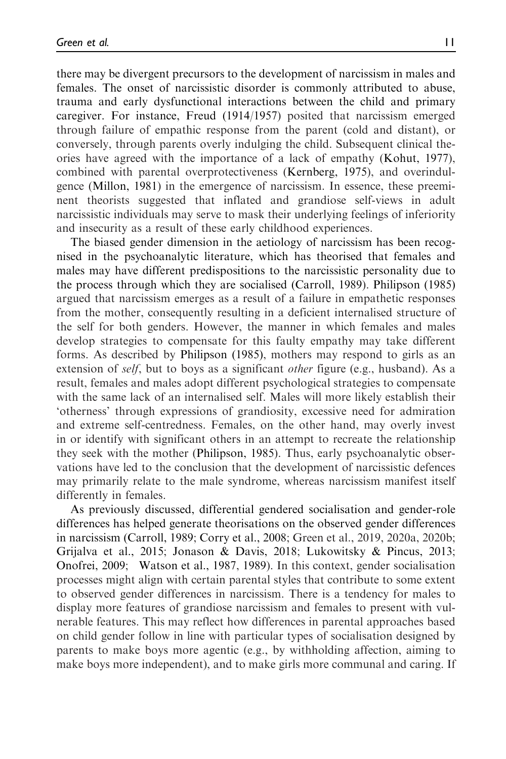there may be divergent precursors to the development of narcissism in males and females. The onset of narcissistic disorder is commonly attributed to abuse, trauma and early dysfunctional interactions between the child and primary caregiver. For instance, Freud (1914/1957) posited that narcissism emerged through failure of empathic response from the parent (cold and distant), or conversely, through parents overly indulging the child. Subsequent clinical theories have agreed with the importance of a lack of empathy (Kohut, 1977), combined with parental overprotectiveness (Kernberg, 1975), and overindulgence (Millon, 1981) in the emergence of narcissism. In essence, these preeminent theorists suggested that inflated and grandiose self-views in adult narcissistic individuals may serve to mask their underlying feelings of inferiority and insecurity as a result of these early childhood experiences.

The biased gender dimension in the aetiology of narcissism has been recognised in the psychoanalytic literature, which has theorised that females and males may have different predispositions to the narcissistic personality due to the process through which they are socialised (Carroll, 1989). Philipson (1985) argued that narcissism emerges as a result of a failure in empathetic responses from the mother, consequently resulting in a deficient internalised structure of the self for both genders. However, the manner in which females and males develop strategies to compensate for this faulty empathy may take different forms. As described by Philipson (1985), mothers may respond to girls as an extension of *self*, but to boys as a significant *other* figure (e.g., husband). As a result, females and males adopt different psychological strategies to compensate with the same lack of an internalised self. Males will more likely establish their 'otherness' through expressions of grandiosity, excessive need for admiration and extreme self-centredness. Females, on the other hand, may overly invest in or identify with significant others in an attempt to recreate the relationship they seek with the mother (Philipson, 1985). Thus, early psychoanalytic observations have led to the conclusion that the development of narcissistic defences may primarily relate to the male syndrome, whereas narcissism manifest itself differently in females.

As previously discussed, differential gendered socialisation and gender-role differences has helped generate theorisations on the observed gender differences in narcissism (Carroll, 1989; Corry et al., 2008; Green et al., 2019, 2020a, 2020b; Grijalva et al., 2015; Jonason & Davis, 2018; Lukowitsky & Pincus, 2013; Onofrei, 2009; Watson et al., 1987, 1989). In this context, gender socialisation processes might align with certain parental styles that contribute to some extent to observed gender differences in narcissism. There is a tendency for males to display more features of grandiose narcissism and females to present with vulnerable features. This may reflect how differences in parental approaches based on child gender follow in line with particular types of socialisation designed by parents to make boys more agentic (e.g., by withholding affection, aiming to make boys more independent), and to make girls more communal and caring. If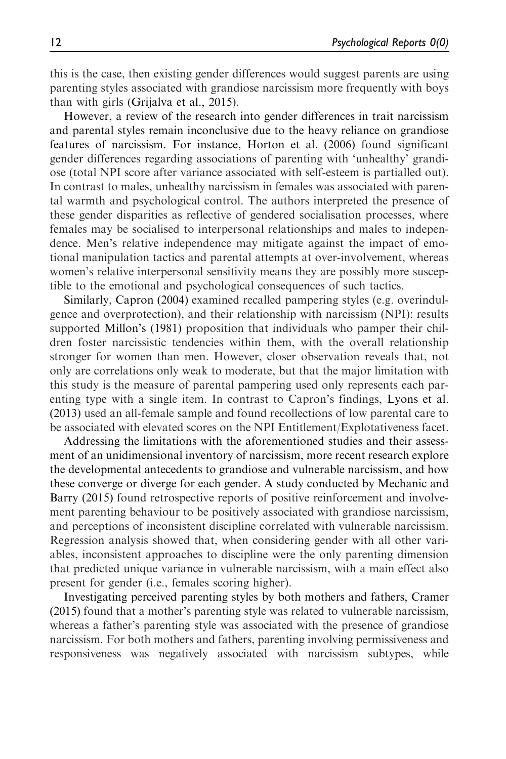this is the case, then existing gender differences would suggest parents are using parenting styles associated with grandiose narcissism more frequently with boys than with girls (Grijalva et al., 2015).

However, a review of the research into gender differences in trait narcissism and parental styles remain inconclusive due to the heavy reliance on grandiose features of narcissism. For instance, Horton et al. (2006) found significant gender differences regarding associations of parenting with 'unhealthy' grandiose (total NPI score after variance associated with self-esteem is partialled out). In contrast to males, unhealthy narcissism in females was associated with parental warmth and psychological control. The authors interpreted the presence of these gender disparities as reflective of gendered socialisation processes, where females may be socialised to interpersonal relationships and males to independence. Men's relative independence may mitigate against the impact of emotional manipulation tactics and parental attempts at over-involvement, whereas women's relative interpersonal sensitivity means they are possibly more susceptible to the emotional and psychological consequences of such tactics.

Similarly, Capron (2004) examined recalled pampering styles (e.g. overindulgence and overprotection), and their relationship with narcissism (NPI): results supported Millon's (1981) proposition that individuals who pamper their children foster narcissistic tendencies within them, with the overall relationship stronger for women than men. However, closer observation reveals that, not only are correlations only weak to moderate, but that the major limitation with this study is the measure of parental pampering used only represents each parenting type with a single item. In contrast to Capron's findings, Lyons et al. (2013) used an all-female sample and found recollections of low parental care to be associated with elevated scores on the NPI Entitlement/Explotativeness facet.

Addressing the limitations with the aforementioned studies and their assessment of an unidimensional inventory of narcissism, more recent research explore the developmental antecedents to grandiose and vulnerable narcissism, and how these converge or diverge for each gender. A study conducted by Mechanic and Barry (2015) found retrospective reports of positive reinforcement and involvement parenting behaviour to be positively associated with grandiose narcissism, and perceptions of inconsistent discipline correlated with vulnerable narcissism. Regression analysis showed that, when considering gender with all other variables, inconsistent approaches to discipline were the only parenting dimension that predicted unique variance in vulnerable narcissism, with a main effect also present for gender (i.e., females scoring higher).

Investigating perceived parenting styles by both mothers and fathers, Cramer (2015) found that a mother's parenting style was related to vulnerable narcissism, whereas a father's parenting style was associated with the presence of grandiose narcissism. For both mothers and fathers, parenting involving permissiveness and responsiveness was negatively associated with narcissism subtypes, while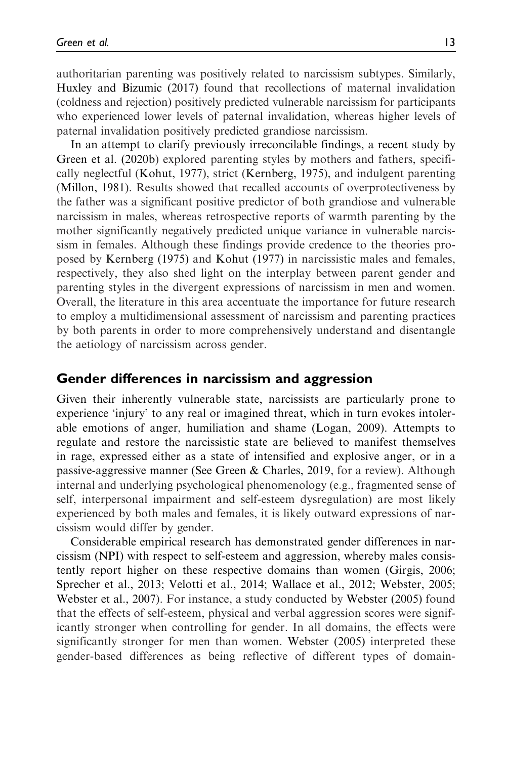authoritarian parenting was positively related to narcissism subtypes. Similarly, Huxley and Bizumic (2017) found that recollections of maternal invalidation (coldness and rejection) positively predicted vulnerable narcissism for participants who experienced lower levels of paternal invalidation, whereas higher levels of paternal invalidation positively predicted grandiose narcissism.

In an attempt to clarify previously irreconcilable findings, a recent study by Green et al. (2020b) explored parenting styles by mothers and fathers, specifically neglectful (Kohut, 1977), strict (Kernberg, 1975), and indulgent parenting (Millon, 1981). Results showed that recalled accounts of overprotectiveness by the father was a significant positive predictor of both grandiose and vulnerable narcissism in males, whereas retrospective reports of warmth parenting by the mother significantly negatively predicted unique variance in vulnerable narcissism in females. Although these findings provide credence to the theories proposed by Kernberg (1975) and Kohut (1977) in narcissistic males and females, respectively, they also shed light on the interplay between parent gender and parenting styles in the divergent expressions of narcissism in men and women. Overall, the literature in this area accentuate the importance for future research to employ a multidimensional assessment of narcissism and parenting practices by both parents in order to more comprehensively understand and disentangle the aetiology of narcissism across gender.

### Gender differences in narcissism and aggression

Given their inherently vulnerable state, narcissists are particularly prone to experience 'injury' to any real or imagined threat, which in turn evokes intolerable emotions of anger, humiliation and shame (Logan, 2009). Attempts to regulate and restore the narcissistic state are believed to manifest themselves in rage, expressed either as a state of intensified and explosive anger, or in a passive-aggressive manner (See Green & Charles, 2019, for a review). Although internal and underlying psychological phenomenology (e.g., fragmented sense of self, interpersonal impairment and self-esteem dysregulation) are most likely experienced by both males and females, it is likely outward expressions of narcissism would differ by gender.

Considerable empirical research has demonstrated gender differences in narcissism (NPI) with respect to self-esteem and aggression, whereby males consistently report higher on these respective domains than women (Girgis, 2006; Sprecher et al., 2013; Velotti et al., 2014; Wallace et al., 2012; Webster, 2005; Webster et al., 2007). For instance, a study conducted by Webster (2005) found that the effects of self-esteem, physical and verbal aggression scores were significantly stronger when controlling for gender. In all domains, the effects were significantly stronger for men than women. Webster (2005) interpreted these gender-based differences as being reflective of different types of domain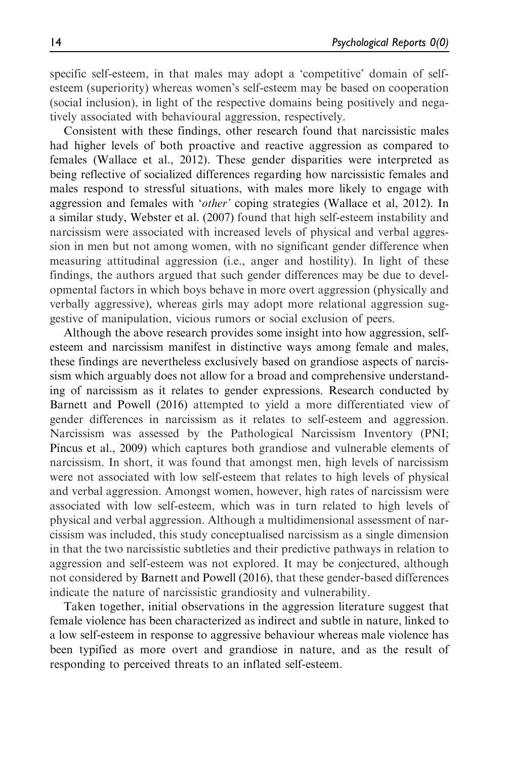specific self-esteem, in that males may adopt a 'competitive' domain of selfesteem (superiority) whereas women's self-esteem may be based on cooperation (social inclusion), in light of the respective domains being positively and negatively associated with behavioural aggression, respectively.

Consistent with these findings, other research found that narcissistic males had higher levels of both proactive and reactive aggression as compared to females (Wallace et al., 2012). These gender disparities were interpreted as being reflective of socialized differences regarding how narcissistic females and males respond to stressful situations, with males more likely to engage with aggression and females with '*other'* coping strategies (Wallace et al, 2012). In a similar study, Webster et al. (2007) found that high self-esteem instability and narcissism were associated with increased levels of physical and verbal aggression in men but not among women, with no significant gender difference when measuring attitudinal aggression (i.e., anger and hostility). In light of these findings, the authors argued that such gender differences may be due to developmental factors in which boys behave in more overt aggression (physically and verbally aggressive), whereas girls may adopt more relational aggression suggestive of manipulation, vicious rumors or social exclusion of peers.

Although the above research provides some insight into how aggression, selfesteem and narcissism manifest in distinctive ways among female and males, these findings are nevertheless exclusively based on grandiose aspects of narcissism which arguably does not allow for a broad and comprehensive understanding of narcissism as it relates to gender expressions. Research conducted by Barnett and Powell (2016) attempted to yield a more differentiated view of gender differences in narcissism as it relates to self-esteem and aggression. Narcissism was assessed by the Pathological Narcissism Inventory (PNI; Pincus et al., 2009) which captures both grandiose and vulnerable elements of narcissism. In short, it was found that amongst men, high levels of narcissism were not associated with low self-esteem that relates to high levels of physical and verbal aggression. Amongst women, however, high rates of narcissism were associated with low self-esteem, which was in turn related to high levels of physical and verbal aggression. Although a multidimensional assessment of narcissism was included, this study conceptualised narcissism as a single dimension in that the two narcissistic subtleties and their predictive pathways in relation to aggression and self-esteem was not explored. It may be conjectured, although not considered by Barnett and Powell (2016), that these gender-based differences indicate the nature of narcissistic grandiosity and vulnerability.

Taken together, initial observations in the aggression literature suggest that female violence has been characterized as indirect and subtle in nature, linked to a low self-esteem in response to aggressive behaviour whereas male violence has been typified as more overt and grandiose in nature, and as the result of responding to perceived threats to an inflated self-esteem.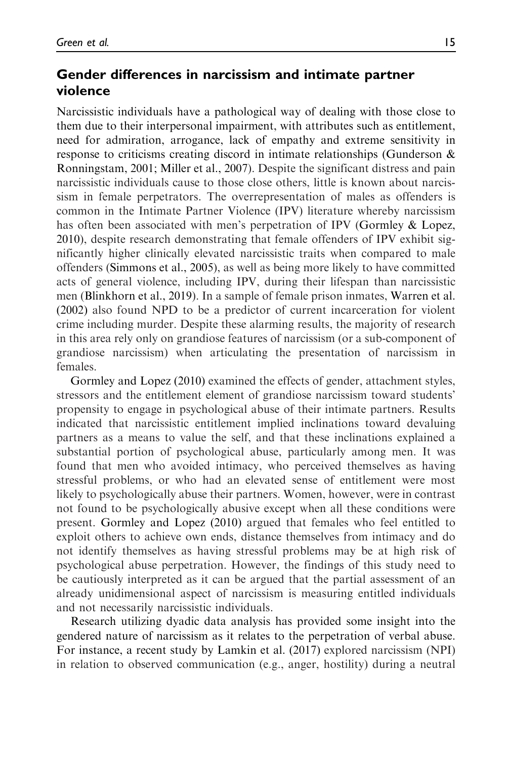# Gender differences in narcissism and intimate partner violence

Narcissistic individuals have a pathological way of dealing with those close to them due to their interpersonal impairment, with attributes such as entitlement, need for admiration, arrogance, lack of empathy and extreme sensitivity in response to criticisms creating discord in intimate relationships (Gunderson & Ronningstam, 2001; Miller et al., 2007). Despite the significant distress and pain narcissistic individuals cause to those close others, little is known about narcissism in female perpetrators. The overrepresentation of males as offenders is common in the Intimate Partner Violence (IPV) literature whereby narcissism has often been associated with men's perpetration of IPV (Gormley & Lopez, 2010), despite research demonstrating that female offenders of IPV exhibit significantly higher clinically elevated narcissistic traits when compared to male offenders (Simmons et al., 2005), as well as being more likely to have committed acts of general violence, including IPV, during their lifespan than narcissistic men (Blinkhorn et al., 2019). In a sample of female prison inmates, Warren et al. (2002) also found NPD to be a predictor of current incarceration for violent crime including murder. Despite these alarming results, the majority of research in this area rely only on grandiose features of narcissism (or a sub-component of grandiose narcissism) when articulating the presentation of narcissism in females.

Gormley and Lopez (2010) examined the effects of gender, attachment styles, stressors and the entitlement element of grandiose narcissism toward students' propensity to engage in psychological abuse of their intimate partners. Results indicated that narcissistic entitlement implied inclinations toward devaluing partners as a means to value the self, and that these inclinations explained a substantial portion of psychological abuse, particularly among men. It was found that men who avoided intimacy, who perceived themselves as having stressful problems, or who had an elevated sense of entitlement were most likely to psychologically abuse their partners. Women, however, were in contrast not found to be psychologically abusive except when all these conditions were present. Gormley and Lopez (2010) argued that females who feel entitled to exploit others to achieve own ends, distance themselves from intimacy and do not identify themselves as having stressful problems may be at high risk of psychological abuse perpetration. However, the findings of this study need to be cautiously interpreted as it can be argued that the partial assessment of an already unidimensional aspect of narcissism is measuring entitled individuals and not necessarily narcissistic individuals.

Research utilizing dyadic data analysis has provided some insight into the gendered nature of narcissism as it relates to the perpetration of verbal abuse. For instance, a recent study by Lamkin et al. (2017) explored narcissism (NPI) in relation to observed communication (e.g., anger, hostility) during a neutral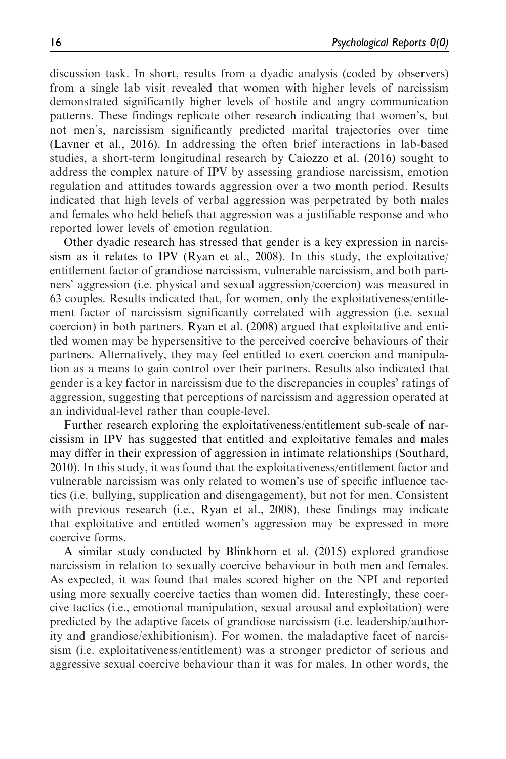discussion task. In short, results from a dyadic analysis (coded by observers) from a single lab visit revealed that women with higher levels of narcissism demonstrated significantly higher levels of hostile and angry communication patterns. These findings replicate other research indicating that women's, but not men's, narcissism significantly predicted marital trajectories over time (Lavner et al., 2016). In addressing the often brief interactions in lab-based studies, a short-term longitudinal research by Caiozzo et al. (2016) sought to address the complex nature of IPV by assessing grandiose narcissism, emotion regulation and attitudes towards aggression over a two month period. Results indicated that high levels of verbal aggression was perpetrated by both males and females who held beliefs that aggression was a justifiable response and who reported lower levels of emotion regulation.

Other dyadic research has stressed that gender is a key expression in narcissism as it relates to IPV (Ryan et al., 2008). In this study, the exploitative/ entitlement factor of grandiose narcissism, vulnerable narcissism, and both partners' aggression (i.e. physical and sexual aggression/coercion) was measured in 63 couples. Results indicated that, for women, only the exploitativeness/entitlement factor of narcissism significantly correlated with aggression (i.e. sexual coercion) in both partners. Ryan et al. (2008) argued that exploitative and entitled women may be hypersensitive to the perceived coercive behaviours of their partners. Alternatively, they may feel entitled to exert coercion and manipulation as a means to gain control over their partners. Results also indicated that gender is a key factor in narcissism due to the discrepancies in couples' ratings of aggression, suggesting that perceptions of narcissism and aggression operated at an individual-level rather than couple-level.

Further research exploring the exploitativeness/entitlement sub-scale of narcissism in IPV has suggested that entitled and exploitative females and males may differ in their expression of aggression in intimate relationships (Southard, 2010). In this study, it was found that the exploitativeness/entitlement factor and vulnerable narcissism was only related to women's use of specific influence tactics (i.e. bullying, supplication and disengagement), but not for men. Consistent with previous research (i.e., Ryan et al., 2008), these findings may indicate that exploitative and entitled women's aggression may be expressed in more coercive forms.

A similar study conducted by Blinkhorn et al. (2015) explored grandiose narcissism in relation to sexually coercive behaviour in both men and females. As expected, it was found that males scored higher on the NPI and reported using more sexually coercive tactics than women did. Interestingly, these coercive tactics (i.e., emotional manipulation, sexual arousal and exploitation) were predicted by the adaptive facets of grandiose narcissism (i.e. leadership/authority and grandiose/exhibitionism). For women, the maladaptive facet of narcissism (i.e. exploitativeness/entitlement) was a stronger predictor of serious and aggressive sexual coercive behaviour than it was for males. In other words, the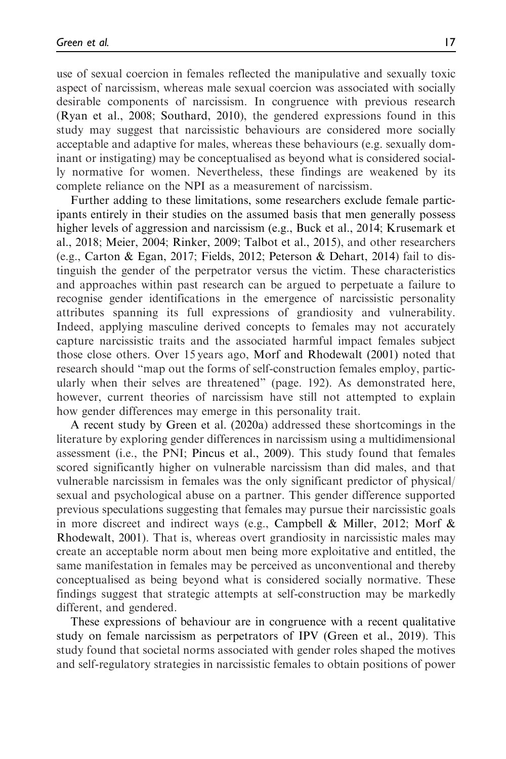use of sexual coercion in females reflected the manipulative and sexually toxic aspect of narcissism, whereas male sexual coercion was associated with socially desirable components of narcissism. In congruence with previous research (Ryan et al., 2008; Southard, 2010), the gendered expressions found in this study may suggest that narcissistic behaviours are considered more socially acceptable and adaptive for males, whereas these behaviours (e.g. sexually dominant or instigating) may be conceptualised as beyond what is considered socially normative for women. Nevertheless, these findings are weakened by its complete reliance on the NPI as a measurement of narcissism.

Further adding to these limitations, some researchers exclude female participants entirely in their studies on the assumed basis that men generally possess higher levels of aggression and narcissism (e.g., Buck et al., 2014; Krusemark et al., 2018; Meier, 2004; Rinker, 2009; Talbot et al., 2015), and other researchers (e.g., Carton & Egan, 2017; Fields, 2012; Peterson & Dehart, 2014) fail to distinguish the gender of the perpetrator versus the victim. These characteristics and approaches within past research can be argued to perpetuate a failure to recognise gender identifications in the emergence of narcissistic personality attributes spanning its full expressions of grandiosity and vulnerability. Indeed, applying masculine derived concepts to females may not accurately capture narcissistic traits and the associated harmful impact females subject those close others. Over 15 years ago, Morf and Rhodewalt (2001) noted that research should "map out the forms of self-construction females employ, particularly when their selves are threatened" (page. 192). As demonstrated here, however, current theories of narcissism have still not attempted to explain how gender differences may emerge in this personality trait.

A recent study by Green et al. (2020a) addressed these shortcomings in the literature by exploring gender differences in narcissism using a multidimensional assessment (i.e., the PNI; Pincus et al., 2009). This study found that females scored significantly higher on vulnerable narcissism than did males, and that vulnerable narcissism in females was the only significant predictor of physical/ sexual and psychological abuse on a partner. This gender difference supported previous speculations suggesting that females may pursue their narcissistic goals in more discreet and indirect ways (e.g., Campbell & Miller, 2012; Morf & Rhodewalt, 2001). That is, whereas overt grandiosity in narcissistic males may create an acceptable norm about men being more exploitative and entitled, the same manifestation in females may be perceived as unconventional and thereby conceptualised as being beyond what is considered socially normative. These findings suggest that strategic attempts at self-construction may be markedly different, and gendered.

These expressions of behaviour are in congruence with a recent qualitative study on female narcissism as perpetrators of IPV (Green et al., 2019). This study found that societal norms associated with gender roles shaped the motives and self-regulatory strategies in narcissistic females to obtain positions of power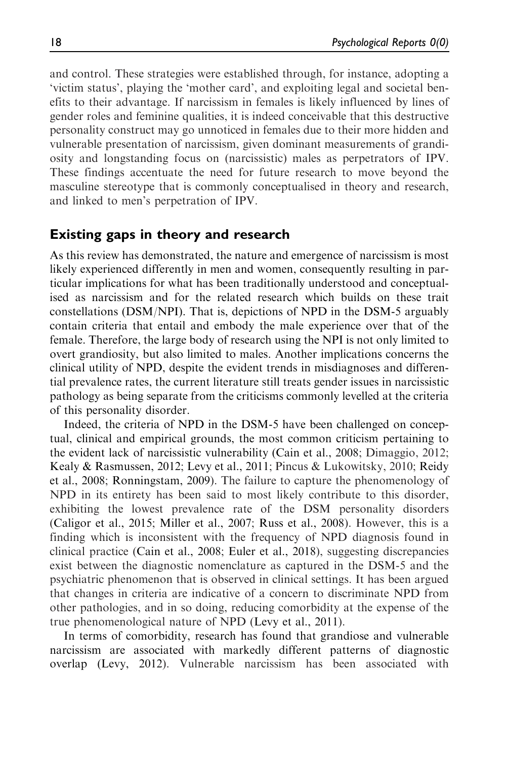and control. These strategies were established through, for instance, adopting a 'victim status', playing the 'mother card', and exploiting legal and societal benefits to their advantage. If narcissism in females is likely influenced by lines of gender roles and feminine qualities, it is indeed conceivable that this destructive personality construct may go unnoticed in females due to their more hidden and vulnerable presentation of narcissism, given dominant measurements of grandiosity and longstanding focus on (narcissistic) males as perpetrators of IPV. These findings accentuate the need for future research to move beyond the masculine stereotype that is commonly conceptualised in theory and research, and linked to men's perpetration of IPV.

#### Existing gaps in theory and research

As this review has demonstrated, the nature and emergence of narcissism is most likely experienced differently in men and women, consequently resulting in particular implications for what has been traditionally understood and conceptualised as narcissism and for the related research which builds on these trait constellations (DSM/NPI). That is, depictions of NPD in the DSM-5 arguably contain criteria that entail and embody the male experience over that of the female. Therefore, the large body of research using the NPI is not only limited to overt grandiosity, but also limited to males. Another implications concerns the clinical utility of NPD, despite the evident trends in misdiagnoses and differential prevalence rates, the current literature still treats gender issues in narcissistic pathology as being separate from the criticisms commonly levelled at the criteria of this personality disorder.

Indeed, the criteria of NPD in the DSM-5 have been challenged on conceptual, clinical and empirical grounds, the most common criticism pertaining to the evident lack of narcissistic vulnerability (Cain et al., 2008; Dimaggio, 2012; Kealy & Rasmussen, 2012; Levy et al., 2011; Pincus & Lukowitsky, 2010; Reidy et al., 2008; Ronningstam, 2009). The failure to capture the phenomenology of NPD in its entirety has been said to most likely contribute to this disorder, exhibiting the lowest prevalence rate of the DSM personality disorders (Caligor et al., 2015; Miller et al., 2007; Russ et al., 2008). However, this is a finding which is inconsistent with the frequency of NPD diagnosis found in clinical practice (Cain et al., 2008; Euler et al., 2018), suggesting discrepancies exist between the diagnostic nomenclature as captured in the DSM-5 and the psychiatric phenomenon that is observed in clinical settings. It has been argued that changes in criteria are indicative of a concern to discriminate NPD from other pathologies, and in so doing, reducing comorbidity at the expense of the true phenomenological nature of NPD (Levy et al., 2011).

In terms of comorbidity, research has found that grandiose and vulnerable narcissism are associated with markedly different patterns of diagnostic overlap (Levy, 2012). Vulnerable narcissism has been associated with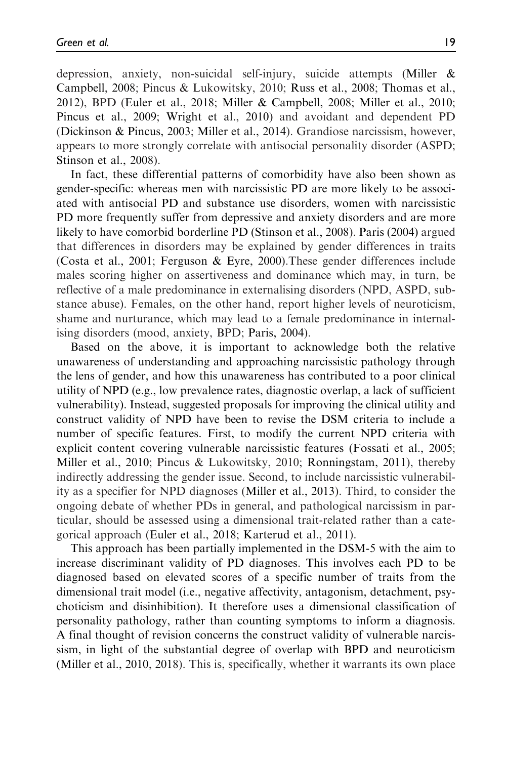depression, anxiety, non-suicidal self-injury, suicide attempts (Miller & Campbell, 2008; Pincus & Lukowitsky, 2010; Russ et al., 2008; Thomas et al., 2012), BPD (Euler et al., 2018; Miller & Campbell, 2008; Miller et al., 2010; Pincus et al., 2009; Wright et al., 2010) and avoidant and dependent PD (Dickinson & Pincus, 2003; Miller et al., 2014). Grandiose narcissism, however, appears to more strongly correlate with antisocial personality disorder (ASPD; Stinson et al., 2008).

In fact, these differential patterns of comorbidity have also been shown as gender-specific: whereas men with narcissistic PD are more likely to be associated with antisocial PD and substance use disorders, women with narcissistic PD more frequently suffer from depressive and anxiety disorders and are more likely to have comorbid borderline PD (Stinson et al., 2008). Paris (2004) argued that differences in disorders may be explained by gender differences in traits (Costa et al., 2001; Ferguson & Eyre, 2000).These gender differences include males scoring higher on assertiveness and dominance which may, in turn, be reflective of a male predominance in externalising disorders (NPD, ASPD, substance abuse). Females, on the other hand, report higher levels of neuroticism, shame and nurturance, which may lead to a female predominance in internalising disorders (mood, anxiety, BPD; Paris, 2004).

Based on the above, it is important to acknowledge both the relative unawareness of understanding and approaching narcissistic pathology through the lens of gender, and how this unawareness has contributed to a poor clinical utility of NPD (e.g., low prevalence rates, diagnostic overlap, a lack of sufficient vulnerability). Instead, suggested proposals for improving the clinical utility and construct validity of NPD have been to revise the DSM criteria to include a number of specific features. First, to modify the current NPD criteria with explicit content covering vulnerable narcissistic features (Fossati et al., 2005; Miller et al., 2010; Pincus & Lukowitsky, 2010; Ronningstam, 2011), thereby indirectly addressing the gender issue. Second, to include narcissistic vulnerability as a specifier for NPD diagnoses (Miller et al., 2013). Third, to consider the ongoing debate of whether PDs in general, and pathological narcissism in particular, should be assessed using a dimensional trait-related rather than a categorical approach (Euler et al., 2018; Karterud et al., 2011).

This approach has been partially implemented in the DSM-5 with the aim to increase discriminant validity of PD diagnoses. This involves each PD to be diagnosed based on elevated scores of a specific number of traits from the dimensional trait model (i.e., negative affectivity, antagonism, detachment, psychoticism and disinhibition). It therefore uses a dimensional classification of personality pathology, rather than counting symptoms to inform a diagnosis. A final thought of revision concerns the construct validity of vulnerable narcissism, in light of the substantial degree of overlap with BPD and neuroticism (Miller et al., 2010, 2018). This is, specifically, whether it warrants its own place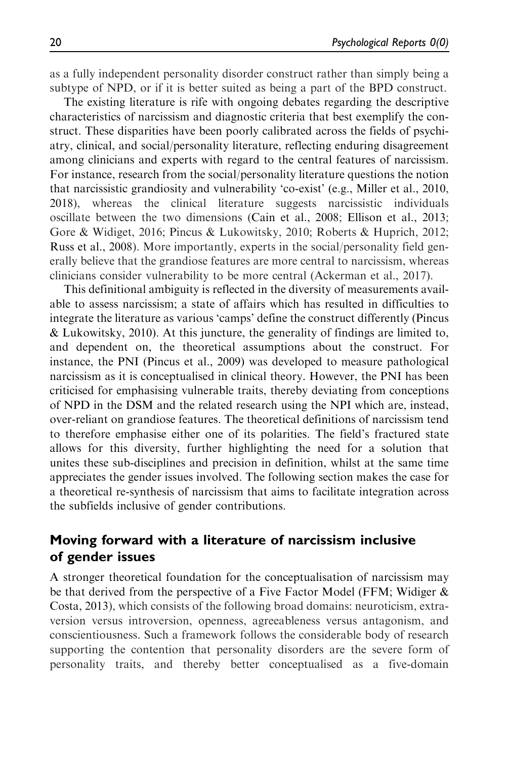as a fully independent personality disorder construct rather than simply being a subtype of NPD, or if it is better suited as being a part of the BPD construct.

The existing literature is rife with ongoing debates regarding the descriptive characteristics of narcissism and diagnostic criteria that best exemplify the construct. These disparities have been poorly calibrated across the fields of psychiatry, clinical, and social/personality literature, reflecting enduring disagreement among clinicians and experts with regard to the central features of narcissism. For instance, research from the social/personality literature questions the notion that narcissistic grandiosity and vulnerability 'co-exist' (e.g., Miller et al., 2010, 2018), whereas the clinical literature suggests narcissistic individuals oscillate between the two dimensions (Cain et al., 2008; Ellison et al., 2013; Gore & Widiget, 2016; Pincus & Lukowitsky, 2010; Roberts & Huprich, 2012; Russ et al., 2008). More importantly, experts in the social/personality field generally believe that the grandiose features are more central to narcissism, whereas clinicians consider vulnerability to be more central (Ackerman et al., 2017).

This definitional ambiguity is reflected in the diversity of measurements available to assess narcissism; a state of affairs which has resulted in difficulties to integrate the literature as various 'camps' define the construct differently (Pincus & Lukowitsky, 2010). At this juncture, the generality of findings are limited to, and dependent on, the theoretical assumptions about the construct. For instance, the PNI (Pincus et al., 2009) was developed to measure pathological narcissism as it is conceptualised in clinical theory. However, the PNI has been criticised for emphasising vulnerable traits, thereby deviating from conceptions of NPD in the DSM and the related research using the NPI which are, instead, over-reliant on grandiose features. The theoretical definitions of narcissism tend to therefore emphasise either one of its polarities. The field's fractured state allows for this diversity, further highlighting the need for a solution that unites these sub-disciplines and precision in definition, whilst at the same time appreciates the gender issues involved. The following section makes the case for a theoretical re-synthesis of narcissism that aims to facilitate integration across the subfields inclusive of gender contributions.

# Moving forward with a literature of narcissism inclusive of gender issues

A stronger theoretical foundation for the conceptualisation of narcissism may be that derived from the perspective of a Five Factor Model (FFM; Widiger & Costa, 2013), which consists of the following broad domains: neuroticism, extraversion versus introversion, openness, agreeableness versus antagonism, and conscientiousness. Such a framework follows the considerable body of research supporting the contention that personality disorders are the severe form of personality traits, and thereby better conceptualised as a five-domain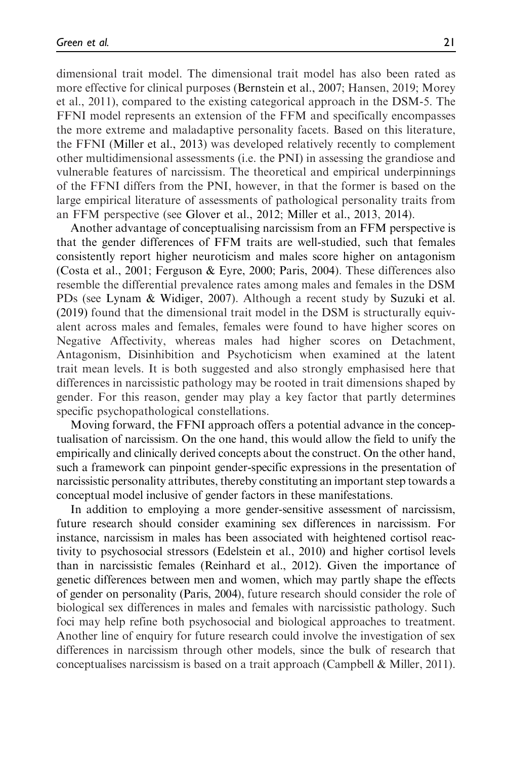dimensional trait model. The dimensional trait model has also been rated as more effective for clinical purposes (Bernstein et al., 2007; Hansen, 2019; Morey et al., 2011), compared to the existing categorical approach in the DSM-5. The FFNI model represents an extension of the FFM and specifically encompasses the more extreme and maladaptive personality facets. Based on this literature, the FFNI (Miller et al., 2013) was developed relatively recently to complement other multidimensional assessments (i.e. the PNI) in assessing the grandiose and vulnerable features of narcissism. The theoretical and empirical underpinnings of the FFNI differs from the PNI, however, in that the former is based on the large empirical literature of assessments of pathological personality traits from an FFM perspective (see Glover et al., 2012; Miller et al., 2013, 2014).

Another advantage of conceptualising narcissism from an FFM perspective is that the gender differences of FFM traits are well-studied, such that females consistently report higher neuroticism and males score higher on antagonism (Costa et al., 2001; Ferguson & Eyre, 2000; Paris, 2004). These differences also resemble the differential prevalence rates among males and females in the DSM PDs (see Lynam & Widiger, 2007). Although a recent study by Suzuki et al. (2019) found that the dimensional trait model in the DSM is structurally equivalent across males and females, females were found to have higher scores on Negative Affectivity, whereas males had higher scores on Detachment, Antagonism, Disinhibition and Psychoticism when examined at the latent trait mean levels. It is both suggested and also strongly emphasised here that differences in narcissistic pathology may be rooted in trait dimensions shaped by gender. For this reason, gender may play a key factor that partly determines specific psychopathological constellations.

Moving forward, the FFNI approach offers a potential advance in the conceptualisation of narcissism. On the one hand, this would allow the field to unify the empirically and clinically derived concepts about the construct. On the other hand, such a framework can pinpoint gender-specific expressions in the presentation of narcissistic personality attributes, thereby constituting an important step towards a conceptual model inclusive of gender factors in these manifestations.

In addition to employing a more gender-sensitive assessment of narcissism, future research should consider examining sex differences in narcissism. For instance, narcissism in males has been associated with heightened cortisol reactivity to psychosocial stressors (Edelstein et al., 2010) and higher cortisol levels than in narcissistic females (Reinhard et al., 2012). Given the importance of genetic differences between men and women, which may partly shape the effects of gender on personality (Paris, 2004), future research should consider the role of biological sex differences in males and females with narcissistic pathology. Such foci may help refine both psychosocial and biological approaches to treatment. Another line of enquiry for future research could involve the investigation of sex differences in narcissism through other models, since the bulk of research that conceptualises narcissism is based on a trait approach (Campbell & Miller, 2011).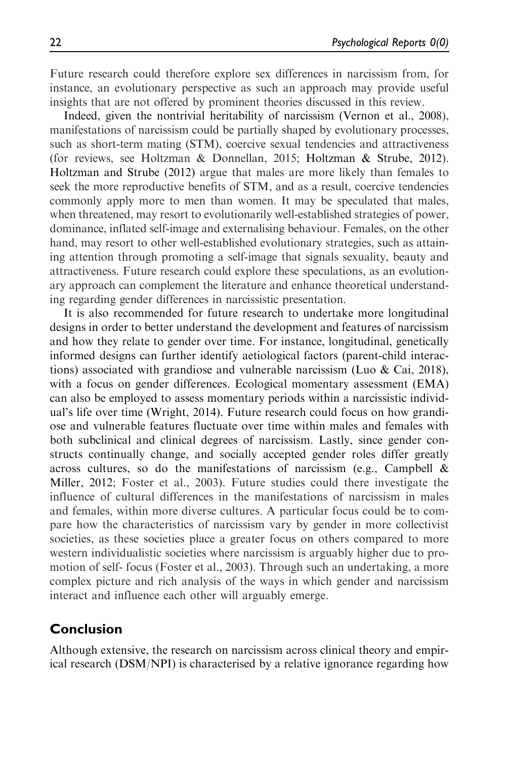Future research could therefore explore sex differences in narcissism from, for instance, an evolutionary perspective as such an approach may provide useful insights that are not offered by prominent theories discussed in this review.

Indeed, given the nontrivial heritability of narcissism (Vernon et al., 2008), manifestations of narcissism could be partially shaped by evolutionary processes, such as short-term mating (STM), coercive sexual tendencies and attractiveness (for reviews, see Holtzman & Donnellan, 2015; Holtzman & Strube, 2012). Holtzman and Strube (2012) argue that males are more likely than females to seek the more reproductive benefits of STM, and as a result, coercive tendencies commonly apply more to men than women. It may be speculated that males, when threatened, may resort to evolutionarily well-established strategies of power, dominance, inflated self-image and externalising behaviour. Females, on the other hand, may resort to other well-established evolutionary strategies, such as attaining attention through promoting a self-image that signals sexuality, beauty and attractiveness. Future research could explore these speculations, as an evolutionary approach can complement the literature and enhance theoretical understanding regarding gender differences in narcissistic presentation.

It is also recommended for future research to undertake more longitudinal designs in order to better understand the development and features of narcissism and how they relate to gender over time. For instance, longitudinal, genetically informed designs can further identify aetiological factors (parent-child interactions) associated with grandiose and vulnerable narcissism (Luo & Cai, 2018), with a focus on gender differences. Ecological momentary assessment (EMA) can also be employed to assess momentary periods within a narcissistic individual's life over time (Wright, 2014). Future research could focus on how grandiose and vulnerable features fluctuate over time within males and females with both subclinical and clinical degrees of narcissism. Lastly, since gender constructs continually change, and socially accepted gender roles differ greatly across cultures, so do the manifestations of narcissism (e.g., Campbell & Miller, 2012; Foster et al., 2003). Future studies could there investigate the influence of cultural differences in the manifestations of narcissism in males and females, within more diverse cultures. A particular focus could be to compare how the characteristics of narcissism vary by gender in more collectivist societies, as these societies place a greater focus on others compared to more western individualistic societies where narcissism is arguably higher due to promotion of self- focus (Foster et al., 2003). Through such an undertaking, a more complex picture and rich analysis of the ways in which gender and narcissism interact and influence each other will arguably emerge.

## Conclusion

Although extensive, the research on narcissism across clinical theory and empirical research (DSM/NPI) is characterised by a relative ignorance regarding how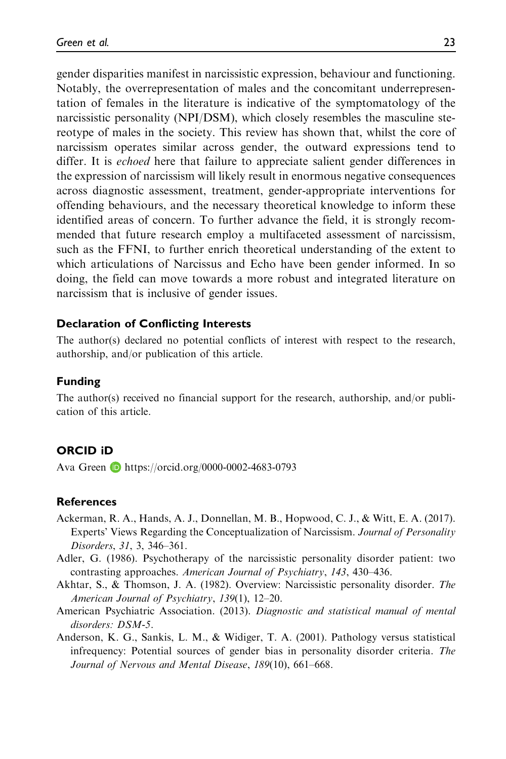gender disparities manifest in narcissistic expression, behaviour and functioning. Notably, the overrepresentation of males and the concomitant underrepresentation of females in the literature is indicative of the symptomatology of the narcissistic personality (NPI/DSM), which closely resembles the masculine stereotype of males in the society. This review has shown that, whilst the core of narcissism operates similar across gender, the outward expressions tend to differ. It is echoed here that failure to appreciate salient gender differences in the expression of narcissism will likely result in enormous negative consequences across diagnostic assessment, treatment, gender-appropriate interventions for offending behaviours, and the necessary theoretical knowledge to inform these identified areas of concern. To further advance the field, it is strongly recommended that future research employ a multifaceted assessment of narcissism, such as the FFNI, to further enrich theoretical understanding of the extent to which articulations of Narcissus and Echo have been gender informed. In so doing, the field can move towards a more robust and integrated literature on narcissism that is inclusive of gender issues.

#### Declaration of Conflicting Interests

The author(s) declared no potential conflicts of interest with respect to the research, authorship, and/or publication of this article.

#### Funding

The author(s) received no financial support for the research, authorship, and/or publication of this article.

#### ORCID iD

Ava Green **b** <https://orcid.org/0000-0002-4683-0793>

#### References

- Ackerman, R. A., Hands, A. J., Donnellan, M. B., Hopwood, C. J., & Witt, E. A. (2017). Experts' Views Regarding the Conceptualization of Narcissism. Journal of Personality Disorders, 31, 3, 346–361.
- Adler, G. (1986). Psychotherapy of the narcissistic personality disorder patient: two contrasting approaches. American Journal of Psychiatry, 143, 430–436.
- Akhtar, S., & Thomson, J. A. (1982). Overview: Narcissistic personality disorder. The American Journal of Psychiatry, 139(1), 12–20.
- American Psychiatric Association. (2013). Diagnostic and statistical manual of mental disorders: DSM-5.
- Anderson, K. G., Sankis, L. M., & Widiger, T. A. (2001). Pathology versus statistical infrequency: Potential sources of gender bias in personality disorder criteria. The Journal of Nervous and Mental Disease, 189(10), 661–668.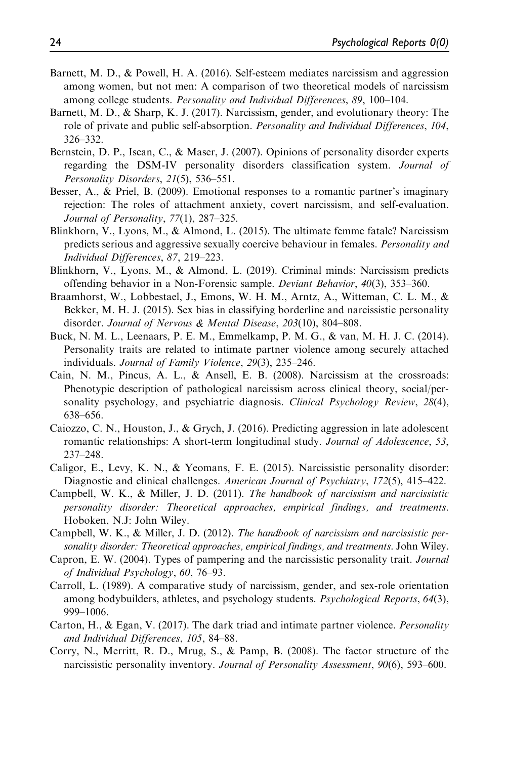- Barnett, M. D., & Powell, H. A. (2016). Self-esteem mediates narcissism and aggression among women, but not men: A comparison of two theoretical models of narcissism among college students. Personality and Individual Differences, 89, 100–104.
- Barnett, M. D., & Sharp, K. J. (2017). Narcissism, gender, and evolutionary theory: The role of private and public self-absorption. Personality and Individual Differences, 104, 326–332.
- Bernstein, D. P., Iscan, C., & Maser, J. (2007). Opinions of personality disorder experts regarding the DSM-IV personality disorders classification system. Journal of Personality Disorders, 21(5), 536–551.
- Besser, A., & Priel, B. (2009). Emotional responses to a romantic partner's imaginary rejection: The roles of attachment anxiety, covert narcissism, and self-evaluation. Journal of Personality, 77(1), 287–325.
- Blinkhorn, V., Lyons, M., & Almond, L. (2015). The ultimate femme fatale? Narcissism predicts serious and aggressive sexually coercive behaviour in females. Personality and Individual Differences, 87, 219–223.
- Blinkhorn, V., Lyons, M., & Almond, L. (2019). Criminal minds: Narcissism predicts offending behavior in a Non-Forensic sample. Deviant Behavior, 40(3), 353–360.
- Braamhorst, W., Lobbestael, J., Emons, W. H. M., Arntz, A., Witteman, C. L. M., & Bekker, M. H. J. (2015). Sex bias in classifying borderline and narcissistic personality disorder. Journal of Nervous & Mental Disease, 203(10), 804–808.
- Buck, N. M. L., Leenaars, P. E. M., Emmelkamp, P. M. G., & van, M. H. J. C. (2014). Personality traits are related to intimate partner violence among securely attached individuals. Journal of Family Violence, 29(3), 235–246.
- Cain, N. M., Pincus, A. L., & Ansell, E. B. (2008). Narcissism at the crossroads: Phenotypic description of pathological narcissism across clinical theory, social/personality psychology, and psychiatric diagnosis. Clinical Psychology Review, 28(4), 638–656.
- Caiozzo, C. N., Houston, J., & Grych, J. (2016). Predicting aggression in late adolescent romantic relationships: A short-term longitudinal study. Journal of Adolescence, 53, 237–248.
- Caligor, E., Levy, K. N., & Yeomans, F. E. (2015). Narcissistic personality disorder: Diagnostic and clinical challenges. American Journal of Psychiatry, 172(5), 415–422.
- Campbell, W. K., & Miller, J. D. (2011). The handbook of narcissism and narcissistic personality disorder: Theoretical approaches, empirical findings, and treatments. Hoboken, N.J: John Wiley.
- Campbell, W. K., & Miller, J. D. (2012). The handbook of narcissism and narcissistic personality disorder: Theoretical approaches, empirical findings, and treatments. John Wiley.
- Capron, E. W. (2004). Types of pampering and the narcissistic personality trait. Journal of Individual Psychology, 60, 76–93.
- Carroll, L. (1989). A comparative study of narcissism, gender, and sex-role orientation among bodybuilders, athletes, and psychology students. *Psychological Reports*, 64(3), 999–1006.
- Carton, H.,  $\&$  Egan, V. (2017). The dark triad and intimate partner violence. *Personality* and Individual Differences, 105, 84–88.
- Corry, N., Merritt, R. D., Mrug, S., & Pamp, B. (2008). The factor structure of the narcissistic personality inventory. Journal of Personality Assessment, 90(6), 593–600.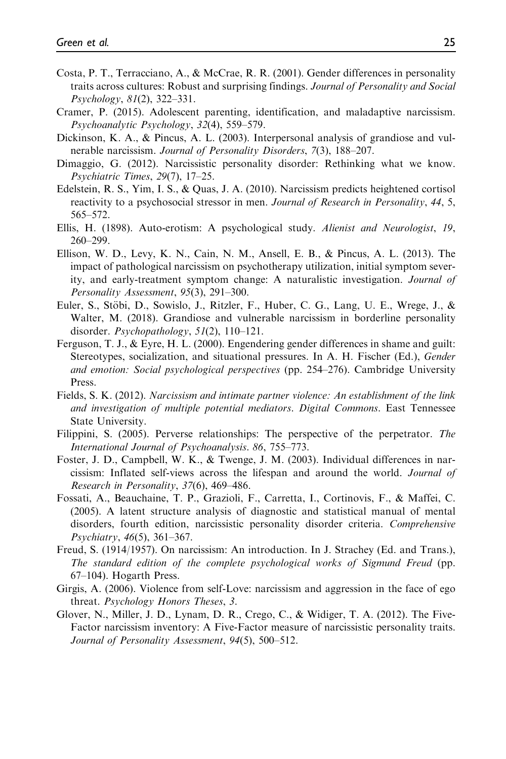- Costa, P. T., Terracciano, A., & McCrae, R. R. (2001). Gender differences in personality traits across cultures: Robust and surprising findings. Journal of Personality and Social Psychology, 81(2), 322–331.
- Cramer, P. (2015). Adolescent parenting, identification, and maladaptive narcissism. Psychoanalytic Psychology, 32(4), 559–579.
- Dickinson, K. A., & Pincus, A. L. (2003). Interpersonal analysis of grandiose and vulnerable narcissism. Journal of Personality Disorders, 7(3), 188–207.
- Dimaggio, G. (2012). Narcissistic personality disorder: Rethinking what we know. Psychiatric Times, 29(7), 17–25.
- Edelstein, R. S., Yim, I. S., & Quas, J. A. (2010). Narcissism predicts heightened cortisol reactivity to a psychosocial stressor in men. Journal of Research in Personality, 44, 5, 565–572.
- Ellis, H. (1898). Auto-erotism: A psychological study. Alienist and Neurologist, 19, 260–299.
- Ellison, W. D., Levy, K. N., Cain, N. M., Ansell, E. B., & Pincus, A. L. (2013). The impact of pathological narcissism on psychotherapy utilization, initial symptom severity, and early-treatment symptom change: A naturalistic investigation. Journal of Personality Assessment, 95(3), 291–300.
- Euler, S., Stöbi, D., Sowislo, J., Ritzler, F., Huber, C. G., Lang, U. E., Wrege, J., & Walter, M. (2018). Grandiose and vulnerable narcissism in borderline personality disorder. *Psychopathology*, 51(2), 110–121.
- Ferguson, T. J., & Eyre, H. L. (2000). Engendering gender differences in shame and guilt: Stereotypes, socialization, and situational pressures. In A. H. Fischer (Ed.), Gender and emotion: Social psychological perspectives (pp. 254–276). Cambridge University Press.
- Fields, S. K. (2012). Narcissism and intimate partner violence: An establishment of the link and investigation of multiple potential mediators. Digital Commons. East Tennessee State University.
- Filippini, S. (2005). Perverse relationships: The perspective of the perpetrator. The International Journal of Psychoanalysis. 86, 755–773.
- Foster, J. D., Campbell, W. K., & Twenge, J. M. (2003). Individual differences in narcissism: Inflated self-views across the lifespan and around the world. Journal of Research in Personality, 37(6), 469–486.
- Fossati, A., Beauchaine, T. P., Grazioli, F., Carretta, I., Cortinovis, F., & Maffei, C. (2005). A latent structure analysis of diagnostic and statistical manual of mental disorders, fourth edition, narcissistic personality disorder criteria. Comprehensive Psychiatry, 46(5), 361–367.
- Freud, S. (1914/1957). On narcissism: An introduction. In J. Strachey (Ed. and Trans.), The standard edition of the complete psychological works of Sigmund Freud (pp. 67–104). Hogarth Press.
- Girgis, A. (2006). Violence from self-Love: narcissism and aggression in the face of ego threat. Psychology Honors Theses, 3.
- Glover, N., Miller, J. D., Lynam, D. R., Crego, C., & Widiger, T. A. (2012). The Five-Factor narcissism inventory: A Five-Factor measure of narcissistic personality traits. Journal of Personality Assessment, 94(5), 500–512.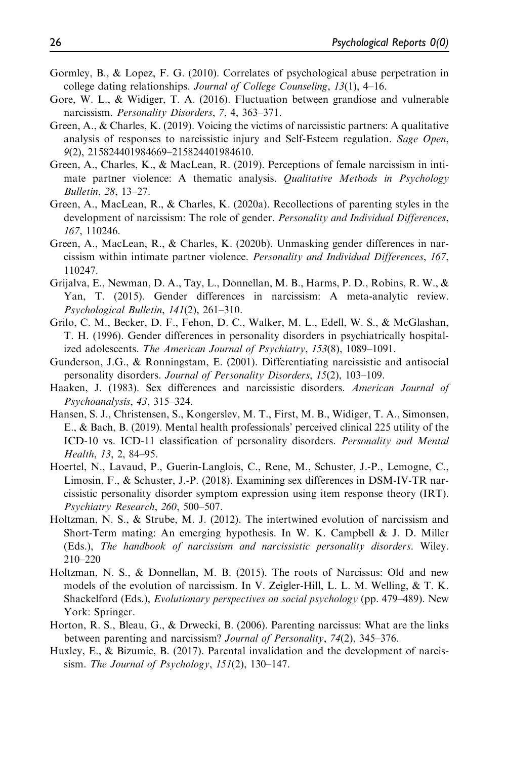- Gormley, B., & Lopez, F. G. (2010). Correlates of psychological abuse perpetration in college dating relationships. Journal of College Counseling, 13(1), 4–16.
- Gore, W. L., & Widiger, T. A. (2016). Fluctuation between grandiose and vulnerable narcissism. Personality Disorders, 7, 4, 363-371.
- Green, A., & Charles, K. (2019). Voicing the victims of narcissistic partners: A qualitative analysis of responses to narcissistic injury and Self-Esteem regulation. Sage Open, 9(2), 215824401984669–215824401984610.
- Green, A., Charles, K., & MacLean, R. (2019). Perceptions of female narcissism in intimate partner violence: A thematic analysis. *Qualitative Methods in Psychology* Bulletin, 28, 13–27.
- Green, A., MacLean, R., & Charles, K. (2020a). Recollections of parenting styles in the development of narcissism: The role of gender. Personality and Individual Differences, 167, 110246.
- Green, A., MacLean, R., & Charles, K. (2020b). Unmasking gender differences in narcissism within intimate partner violence. Personality and Individual Differences, 167, 110247.
- Grijalva, E., Newman, D. A., Tay, L., Donnellan, M. B., Harms, P. D., Robins, R. W., & Yan, T. (2015). Gender differences in narcissism: A meta-analytic review. Psychological Bulletin, 141(2), 261–310.
- Grilo, C. M., Becker, D. F., Fehon, D. C., Walker, M. L., Edell, W. S., & McGlashan, T. H. (1996). Gender differences in personality disorders in psychiatrically hospitalized adolescents. The American Journal of Psychiatry, 153(8), 1089–1091.
- Gunderson, J.G., & Ronningstam, E. (2001). Differentiating narcissistic and antisocial personality disorders. Journal of Personality Disorders, 15(2), 103–109.
- Haaken, J. (1983). Sex differences and narcissistic disorders. American Journal of Psychoanalysis, 43, 315–324.
- Hansen, S. J., Christensen, S., Kongerslev, M. T., First, M. B., Widiger, T. A., Simonsen, E., & Bach, B. (2019). Mental health professionals' perceived clinical 225 utility of the ICD-10 vs. ICD-11 classification of personality disorders. Personality and Mental Health, 13, 2, 84–95.
- Hoertel, N., Lavaud, P., Guerin-Langlois, C., Rene, M., Schuster, J.-P., Lemogne, C., Limosin, F., & Schuster, J.-P. (2018). Examining sex differences in DSM-IV-TR narcissistic personality disorder symptom expression using item response theory (IRT). Psychiatry Research, 260, 500–507.
- Holtzman, N. S., & Strube, M. J. (2012). The intertwined evolution of narcissism and Short-Term mating: An emerging hypothesis. In W. K. Campbell & J. D. Miller (Eds.), The handbook of narcissism and narcissistic personality disorders. Wiley. 210–220
- Holtzman, N. S., & Donnellan, M. B. (2015). The roots of Narcissus: Old and new models of the evolution of narcissism. In V. Zeigler-Hill, L. L. M. Welling, & T. K. Shackelford (Eds.), Evolutionary perspectives on social psychology (pp. 479–489). New York: Springer.
- Horton, R. S., Bleau, G., & Drwecki, B. (2006). Parenting narcissus: What are the links between parenting and narcissism? Journal of Personality, 74(2), 345–376.
- Huxley, E., & Bizumic, B. (2017). Parental invalidation and the development of narcissism. The Journal of Psychology,  $151(2)$ , 130-147.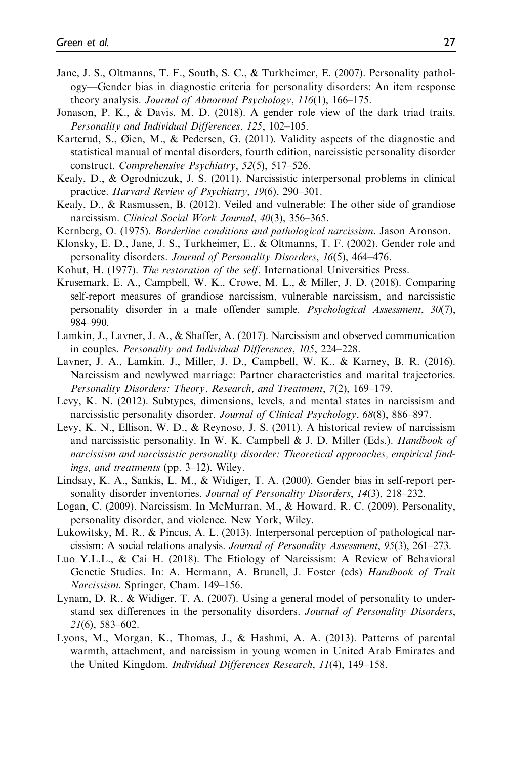- Jane, J. S., Oltmanns, T. F., South, S. C., & Turkheimer, E. (2007). Personality pathology—Gender bias in diagnostic criteria for personality disorders: An item response theory analysis. Journal of Abnormal Psychology, 116(1), 166–175.
- Jonason, P. K., & Davis, M. D. (2018). A gender role view of the dark triad traits. Personality and Individual Differences, 125, 102–105.
- Karterud, S., Øien, M., & Pedersen, G. (2011). Validity aspects of the diagnostic and statistical manual of mental disorders, fourth edition, narcissistic personality disorder construct. Comprehensive Psychiatry, 52(5), 517–526.
- Kealy, D., & Ogrodniczuk, J. S. (2011). Narcissistic interpersonal problems in clinical practice. Harvard Review of Psychiatry, 19(6), 290–301.
- Kealy, D., & Rasmussen, B. (2012). Veiled and vulnerable: The other side of grandiose narcissism. Clinical Social Work Journal, 40(3), 356-365.
- Kernberg, O. (1975). Borderline conditions and pathological narcissism. Jason Aronson.
- Klonsky, E. D., Jane, J. S., Turkheimer, E., & Oltmanns, T. F. (2002). Gender role and personality disorders. Journal of Personality Disorders, 16(5), 464–476.
- Kohut, H. (1977). The restoration of the self. International Universities Press.
- Krusemark, E. A., Campbell, W. K., Crowe, M. L., & Miller, J. D. (2018). Comparing self-report measures of grandiose narcissism, vulnerable narcissism, and narcissistic personality disorder in a male offender sample. Psychological Assessment, 30(7), 984–990.
- Lamkin, J., Lavner, J. A., & Shaffer, A. (2017). Narcissism and observed communication in couples. Personality and Individual Differences, 105, 224–228.
- Lavner, J. A., Lamkin, J., Miller, J. D., Campbell, W. K., & Karney, B. R. (2016). Narcissism and newlywed marriage: Partner characteristics and marital trajectories. Personality Disorders: Theory, Research, and Treatment, 7(2), 169–179.
- Levy, K. N. (2012). Subtypes, dimensions, levels, and mental states in narcissism and narcissistic personality disorder. Journal of Clinical Psychology, 68(8), 886–897.
- Levy, K. N., Ellison, W. D., & Reynoso, J. S. (2011). A historical review of narcissism and narcissistic personality. In W. K. Campbell & J. D. Miller (Eds.). Handbook of narcissism and narcissistic personality disorder: Theoretical approaches, empirical findings, and treatments (pp. 3–12). Wiley.
- Lindsay, K. A., Sankis, L. M., & Widiger, T. A. (2000). Gender bias in self-report personality disorder inventories. Journal of Personality Disorders, 14(3), 218–232.
- Logan, C. (2009). Narcissism. In McMurran, M., & Howard, R. C. (2009). Personality, personality disorder, and violence. New York, Wiley.
- Lukowitsky, M. R., & Pincus, A. L. (2013). Interpersonal perception of pathological narcissism: A social relations analysis. Journal of Personality Assessment, 95(3), 261–273.
- Luo Y.L.L., & Cai H. (2018). The Etiology of Narcissism: A Review of Behavioral Genetic Studies. In: A. Hermann, A. Brunell, J. Foster (eds) Handbook of Trait Narcissism. Springer, Cham. 149–156.
- Lynam, D. R., & Widiger, T. A. (2007). Using a general model of personality to understand sex differences in the personality disorders. Journal of Personality Disorders, 21(6), 583–602.
- Lyons, M., Morgan, K., Thomas, J., & Hashmi, A. A. (2013). Patterns of parental warmth, attachment, and narcissism in young women in United Arab Emirates and the United Kingdom. Individual Differences Research, 11(4), 149–158.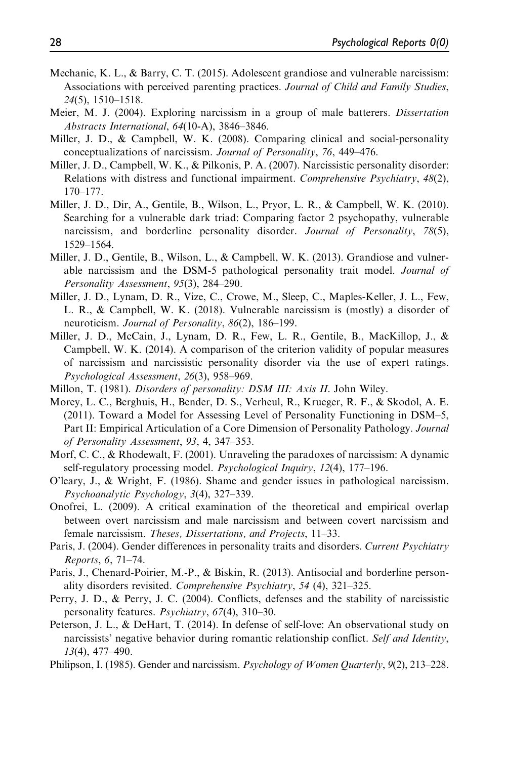- Mechanic, K. L., & Barry, C. T. (2015). Adolescent grandiose and vulnerable narcissism: Associations with perceived parenting practices. Journal of Child and Family Studies, 24(5), 1510–1518.
- Meier, M. J. (2004). Exploring narcissism in a group of male batterers. Dissertation Abstracts International, 64(10-A), 3846–3846.
- Miller, J. D., & Campbell, W. K. (2008). Comparing clinical and social-personality conceptualizations of narcissism. Journal of Personality, 76, 449–476.
- Miller, J. D., Campbell, W. K., & Pilkonis, P. A. (2007). Narcissistic personality disorder: Relations with distress and functional impairment. Comprehensive Psychiatry, 48(2), 170–177.
- Miller, J. D., Dir, A., Gentile, B., Wilson, L., Pryor, L. R., & Campbell, W. K. (2010). Searching for a vulnerable dark triad: Comparing factor 2 psychopathy, vulnerable narcissism, and borderline personality disorder. Journal of Personality, 78(5), 1529–1564.
- Miller, J. D., Gentile, B., Wilson, L., & Campbell, W. K. (2013). Grandiose and vulnerable narcissism and the DSM-5 pathological personality trait model. Journal of Personality Assessment, 95(3), 284–290.
- Miller, J. D., Lynam, D. R., Vize, C., Crowe, M., Sleep, C., Maples-Keller, J. L., Few, L. R., & Campbell, W. K. (2018). Vulnerable narcissism is (mostly) a disorder of neuroticism. Journal of Personality, 86(2), 186-199.
- Miller, J. D., McCain, J., Lynam, D. R., Few, L. R., Gentile, B., MacKillop, J., & Campbell, W. K. (2014). A comparison of the criterion validity of popular measures of narcissism and narcissistic personality disorder via the use of expert ratings. Psychological Assessment, 26(3), 958–969.
- Millon, T. (1981). *Disorders of personality: DSM III: Axis II*. John Wiley.
- Morey, L. C., Berghuis, H., Bender, D. S., Verheul, R., Krueger, R. F., & Skodol, A. E. (2011). Toward a Model for Assessing Level of Personality Functioning in DSM–5, Part II: Empirical Articulation of a Core Dimension of Personality Pathology. Journal of Personality Assessment, 93, 4, 347–353.
- Morf, C. C., & Rhodewalt, F. (2001). Unraveling the paradoxes of narcissism: A dynamic self-regulatory processing model. Psychological Inquiry, 12(4), 177–196.
- O'leary, J., & Wright, F. (1986). Shame and gender issues in pathological narcissism. Psychoanalytic Psychology, 3(4), 327–339.
- Onofrei, L. (2009). A critical examination of the theoretical and empirical overlap between overt narcissism and male narcissism and between covert narcissism and female narcissism. Theses, Dissertations, and Projects, 11–33.
- Paris, J. (2004). Gender differences in personality traits and disorders. Current Psychiatry Reports, 6, 71–74.
- Paris, J., Chenard-Poirier, M.-P., & Biskin, R. (2013). Antisocial and borderline personality disorders revisited. Comprehensive Psychiatry, 54 (4), 321–325.
- Perry, J. D., & Perry, J. C. (2004). Conflicts, defenses and the stability of narcissistic personality features. Psychiatry, 67(4), 310–30.
- Peterson, J. L., & DeHart, T. (2014). In defense of self-love: An observational study on narcissists' negative behavior during romantic relationship conflict. Self and Identity, 13(4), 477–490.
- Philipson, I. (1985). Gender and narcissism. *Psychology of Women Quarterly*, 9(2), 213–228.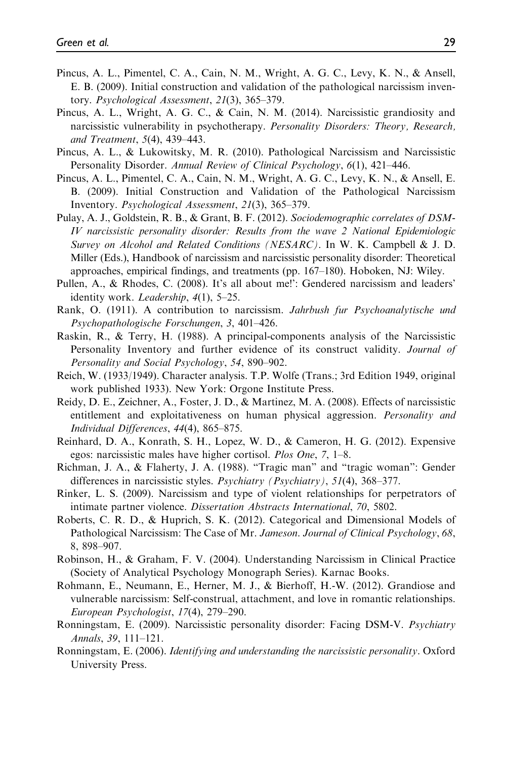- Pincus, A. L., Pimentel, C. A., Cain, N. M., Wright, A. G. C., Levy, K. N., & Ansell, E. B. (2009). Initial construction and validation of the pathological narcissism inventory. Psychological Assessment, 21(3), 365–379.
- Pincus, A. L., Wright, A. G. C., & Cain, N. M. (2014). Narcissistic grandiosity and narcissistic vulnerability in psychotherapy. Personality Disorders: Theory, Research, and Treatment, 5(4), 439–443.
- Pincus, A. L., & Lukowitsky, M. R. (2010). Pathological Narcissism and Narcissistic Personality Disorder. Annual Review of Clinical Psychology, 6(1), 421-446.
- Pincus, A. L., Pimentel, C. A., Cain, N. M., Wright, A. G. C., Levy, K. N., & Ansell, E. B. (2009). Initial Construction and Validation of the Pathological Narcissism Inventory. Psychological Assessment, 21(3), 365–379.
- Pulay, A. J., Goldstein, R. B., & Grant, B. F. (2012). Sociodemographic correlates of DSM-IV narcissistic personality disorder: Results from the wave 2 National Epidemiologic Survey on Alcohol and Related Conditions (NESARC). In W. K. Campbell & J. D. Miller (Eds.), Handbook of narcissism and narcissistic personality disorder: Theoretical approaches, empirical findings, and treatments (pp. 167–180). Hoboken, NJ: Wiley.
- Pullen, A., & Rhodes, C. (2008). It's all about me!': Gendered narcissism and leaders' identity work. Leadership, 4(1), 5–25.
- Rank, O. (1911). A contribution to narcissism. Jahrbush fur Psychoanalytische und Psychopathologische Forschungen, 3, 401–426.
- Raskin, R., & Terry, H. (1988). A principal-components analysis of the Narcissistic Personality Inventory and further evidence of its construct validity. Journal of Personality and Social Psychology, 54, 890–902.
- Reich, W. (1933/1949). Character analysis. T.P. Wolfe (Trans.; 3rd Edition 1949, original work published 1933). New York: Orgone Institute Press.
- Reidy, D. E., Zeichner, A., Foster, J. D., & Martinez, M. A. (2008). Effects of narcissistic entitlement and exploitativeness on human physical aggression. *Personality and* Individual Differences, 44(4), 865–875.
- Reinhard, D. A., Konrath, S. H., Lopez, W. D., & Cameron, H. G. (2012). Expensive egos: narcissistic males have higher cortisol. Plos One, 7, 1–8.
- Richman, J. A., & Flaherty, J. A. (1988). "Tragic man" and "tragic woman": Gender differences in narcissistic styles. Psychiatry (Psychiatry), 51(4), 368-377.
- Rinker, L. S. (2009). Narcissism and type of violent relationships for perpetrators of intimate partner violence. Dissertation Abstracts International, 70, 5802.
- Roberts, C. R. D., & Huprich, S. K. (2012). Categorical and Dimensional Models of Pathological Narcissism: The Case of Mr. Jameson. Journal of Clinical Psychology, 68, 8, 898–907.
- Robinson, H., & Graham, F. V. (2004). Understanding Narcissism in Clinical Practice (Society of Analytical Psychology Monograph Series). Karnac Books.
- Rohmann, E., Neumann, E., Herner, M. J., & Bierhoff, H.-W. (2012). Grandiose and vulnerable narcissism: Self-construal, attachment, and love in romantic relationships. European Psychologist, 17(4), 279–290.
- Ronningstam, E. (2009). Narcissistic personality disorder: Facing DSM-V. Psychiatry Annals, 39, 111–121.
- Ronningstam, E. (2006). Identifying and understanding the narcissistic personality. Oxford University Press.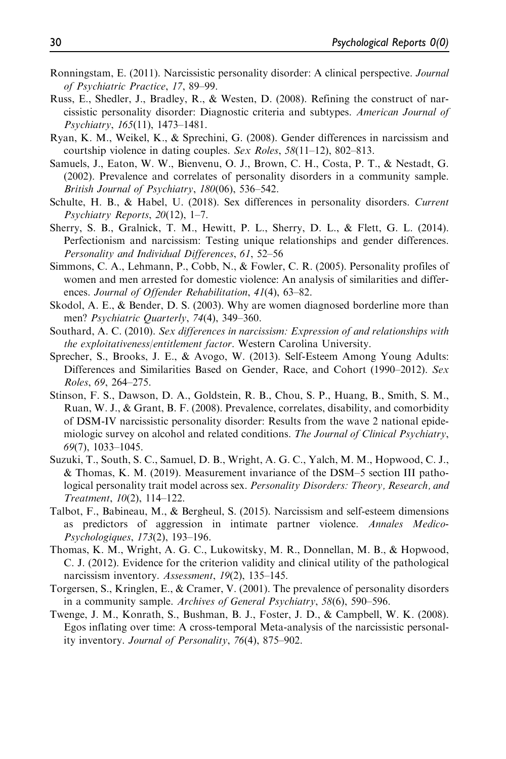- Ronningstam, E. (2011). Narcissistic personality disorder: A clinical perspective. Journal of Psychiatric Practice, 17, 89–99.
- Russ, E., Shedler, J., Bradley, R., & Westen, D. (2008). Refining the construct of narcissistic personality disorder: Diagnostic criteria and subtypes. American Journal of Psychiatry, 165(11), 1473–1481.
- Ryan, K. M., Weikel, K., & Sprechini, G. (2008). Gender differences in narcissism and courtship violence in dating couples. Sex Roles, 58(11–12), 802–813.
- Samuels, J., Eaton, W. W., Bienvenu, O. J., Brown, C. H., Costa, P. T., & Nestadt, G. (2002). Prevalence and correlates of personality disorders in a community sample. British Journal of Psychiatry, 180(06), 536–542.
- Schulte, H. B., & Habel, U. (2018). Sex differences in personality disorders. Current Psychiatry Reports, 20(12), 1–7.
- Sherry, S. B., Gralnick, T. M., Hewitt, P. L., Sherry, D. L., & Flett, G. L. (2014). Perfectionism and narcissism: Testing unique relationships and gender differences. Personality and Individual Differences, 61, 52–56
- Simmons, C. A., Lehmann, P., Cobb, N., & Fowler, C. R. (2005). Personality profiles of women and men arrested for domestic violence: An analysis of similarities and differences. Journal of Offender Rehabilitation, 41(4), 63-82.
- Skodol, A. E., & Bender, D. S. (2003). Why are women diagnosed borderline more than men? Psychiatric Quarterly, 74(4), 349-360.
- Southard, A. C. (2010). Sex differences in narcissism: Expression of and relationships with the exploitativeness/entitlement factor. Western Carolina University.
- Sprecher, S., Brooks, J. E., & Avogo, W. (2013). Self-Esteem Among Young Adults: Differences and Similarities Based on Gender, Race, and Cohort (1990–2012). Sex Roles, 69, 264–275.
- Stinson, F. S., Dawson, D. A., Goldstein, R. B., Chou, S. P., Huang, B., Smith, S. M., Ruan, W. J., & Grant, B. F. (2008). Prevalence, correlates, disability, and comorbidity of DSM-IV narcissistic personality disorder: Results from the wave 2 national epidemiologic survey on alcohol and related conditions. The Journal of Clinical Psychiatry, 69(7), 1033–1045.
- Suzuki, T., South, S. C., Samuel, D. B., Wright, A. G. C., Yalch, M. M., Hopwood, C. J., & Thomas, K. M. (2019). Measurement invariance of the DSM–5 section III pathological personality trait model across sex. Personality Disorders: Theory, Research, and Treatment, 10(2), 114–122.
- Talbot, F., Babineau, M., & Bergheul, S. (2015). Narcissism and self-esteem dimensions as predictors of aggression in intimate partner violence. Annales Medico-Psychologiques, 173(2), 193–196.
- Thomas, K. M., Wright, A. G. C., Lukowitsky, M. R., Donnellan, M. B., & Hopwood, C. J. (2012). Evidence for the criterion validity and clinical utility of the pathological narcissism inventory. Assessment, 19(2), 135–145.
- Torgersen, S., Kringlen, E., & Cramer, V. (2001). The prevalence of personality disorders in a community sample. Archives of General Psychiatry, 58(6), 590-596.
- Twenge, J. M., Konrath, S., Bushman, B. J., Foster, J. D., & Campbell, W. K. (2008). Egos inflating over time: A cross-temporal Meta-analysis of the narcissistic personality inventory. Journal of Personality, 76(4), 875–902.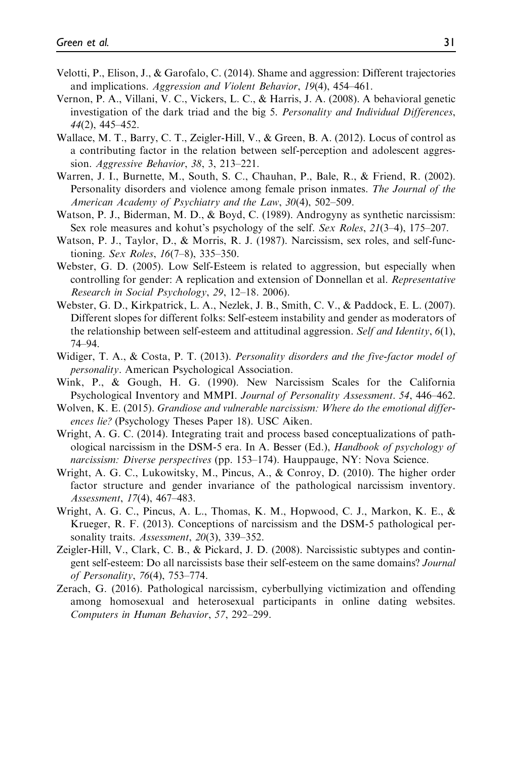- Velotti, P., Elison, J., & Garofalo, C. (2014). Shame and aggression: Different trajectories and implications. Aggression and Violent Behavior, 19(4), 454–461.
- Vernon, P. A., Villani, V. C., Vickers, L. C., & Harris, J. A. (2008). A behavioral genetic investigation of the dark triad and the big 5. Personality and Individual Differences, 44(2), 445–452.
- Wallace, M. T., Barry, C. T., Zeigler-Hill, V., & Green, B. A. (2012). Locus of control as a contributing factor in the relation between self-perception and adolescent aggression. Aggressive Behavior, 38, 3, 213–221.
- Warren, J. I., Burnette, M., South, S. C., Chauhan, P., Bale, R., & Friend, R. (2002). Personality disorders and violence among female prison inmates. The Journal of the American Academy of Psychiatry and the Law, 30(4), 502–509.
- Watson, P. J., Biderman, M. D., & Boyd, C. (1989). Androgyny as synthetic narcissism: Sex role measures and kohut's psychology of the self. Sex Roles, 21(3–4), 175–207.
- Watson, P. J., Taylor, D., & Morris, R. J. (1987). Narcissism, sex roles, and self-functioning. Sex Roles, 16(7–8), 335–350.
- Webster, G. D. (2005). Low Self-Esteem is related to aggression, but especially when controlling for gender: A replication and extension of Donnellan et al. Representative Research in Social Psychology, 29, 12–18. 2006).
- Webster, G. D., Kirkpatrick, L. A., Nezlek, J. B., Smith, C. V., & Paddock, E. L. (2007). Different slopes for different folks: Self-esteem instability and gender as moderators of the relationship between self-esteem and attitudinal aggression. Self and Identity,  $6(1)$ , 74–94.
- Widiger, T. A., & Costa, P. T. (2013). Personality disorders and the five-factor model of personality. American Psychological Association.
- Wink, P., & Gough, H. G. (1990). New Narcissism Scales for the California Psychological Inventory and MMPI. Journal of Personality Assessment. 54, 446–462.
- Wolven, K. E. (2015). Grandiose and vulnerable narcissism: Where do the emotional differences lie? (Psychology Theses Paper 18). USC Aiken.
- Wright, A. G. C. (2014). Integrating trait and process based conceptualizations of pathological narcissism in the DSM-5 era. In A. Besser (Ed.), Handbook of psychology of narcissism: Diverse perspectives (pp. 153–174). Hauppauge, NY: Nova Science.
- Wright, A. G. C., Lukowitsky, M., Pincus, A., & Conroy, D. (2010). The higher order factor structure and gender invariance of the pathological narcissism inventory. Assessment, 17(4), 467–483.
- Wright, A. G. C., Pincus, A. L., Thomas, K. M., Hopwood, C. J., Markon, K. E., & Krueger, R. F. (2013). Conceptions of narcissism and the DSM-5 pathological personality traits. Assessment, 20(3), 339-352.
- Zeigler-Hill, V., Clark, C. B., & Pickard, J. D. (2008). Narcissistic subtypes and contingent self-esteem: Do all narcissists base their self-esteem on the same domains? Journal of Personality, 76(4), 753–774.
- Zerach, G. (2016). Pathological narcissism, cyberbullying victimization and offending among homosexual and heterosexual participants in online dating websites. Computers in Human Behavior, 57, 292–299.